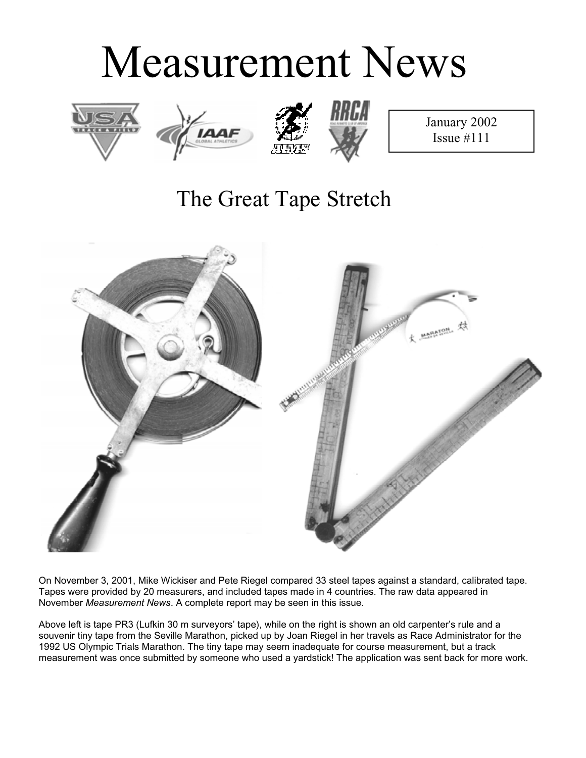# Measurement News







January 2002 Issue #111

## The Great Tape Stretch



On November 3, 2001, Mike Wickiser and Pete Riegel compared 33 steel tapes against a standard, calibrated tape. Tapes were provided by 20 measurers, and included tapes made in 4 countries. The raw data appeared in November *Measurement News*. A complete report may be seen in this issue.

Above left is tape PR3 (Lufkin 30 m surveyors' tape), while on the right is shown an old carpenter's rule and a souvenir tiny tape from the Seville Marathon, picked up by Joan Riegel in her travels as Race Administrator for the 1992 US Olympic Trials Marathon. The tiny tape may seem inadequate for course measurement, but a track measurement was once submitted by someone who used a yardstick! The application was sent back for more work.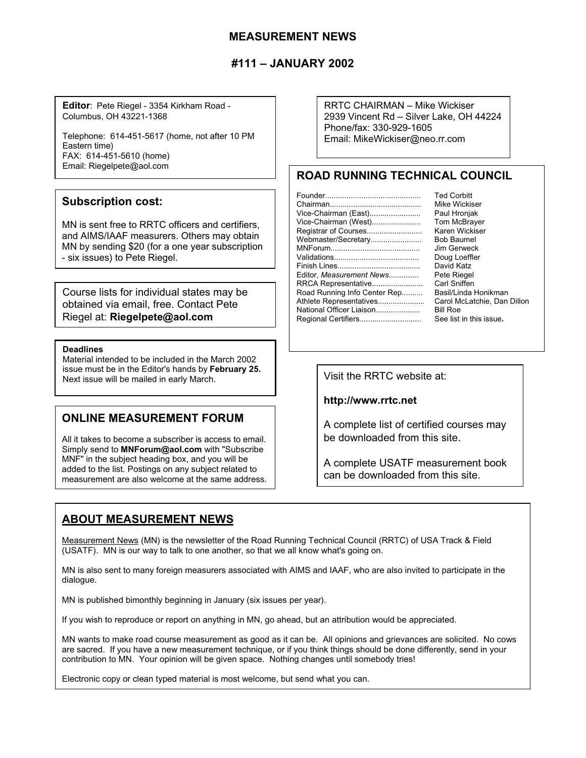#### **MEASUREMENT NEWS**

#### **#111 – JANUARY 2002**

**Editor**: Pete Riegel - 3354 Kirkham Road - Columbus, OH 43221-1368

Telephone: 614-451-5617 (home, not after 10 PM Eastern time) FAX: 614-451-5610 (home) Email: Riegelpete@aol.com

#### **Subscription cost:**

MN is sent free to RRTC officers and certifiers, and AIMS/IAAF measurers. Others may obtain MN by sending \$20 (for a one year subscription - six issues) to Pete Riegel.

Course lists for individual states may be obtained via email, free. Contact Pete Riegel at: **Riegelpete@aol.com**

#### **Deadlines**

Material intended to be included in the March 2002 issue must be in the Editor's hands by **February 25.** Next issue will be mailed in early March.

#### **ONLINE MEASUREMENT FORUM**

All it takes to become a subscriber is access to email. Simply send to **MNForum@aol.com** with "Subscribe MNF" in the subject heading box, and you will be added to the list. Postings on any subject related to measurement are also welcome at the same address. RRTC CHAIRMAN – Mike Wickiser 2939 Vincent Rd – Silver Lake, OH 44224 Phone/fax: 330-929-1605 Email: MikeWickiser@neo.rr.com

### **ROAD RUNNING TECHNICAL COUNCIL**

|                              | <b>Ted Corbitt</b>          |
|------------------------------|-----------------------------|
|                              | Mike Wickiser               |
| Vice-Chairman (East)         | Paul Hronjak                |
| Vice-Chairman (West)         | Tom McBrayer                |
|                              | Karen Wickiser              |
| Webmaster/Secretary          | Bob Baumel                  |
|                              | Jim Gerweck                 |
|                              | Doug Loeffler               |
|                              | David Katz                  |
| Editor, Measurement News     | Pete Riegel                 |
| RRCA Representative          | Carl Sniffen                |
| Road Running Info Center Rep | Basil/Linda Honikman        |
| Athlete Representatives      | Carol McLatchie, Dan Dillon |
| National Officer Liaison     | <b>Bill Roe</b>             |
| Regional Certifiers          | See list in this issue.     |
|                              |                             |

**http://www.rrtc.net**

A complete list of certified courses may be downloaded from this site.

A complete USATF measurement book can be downloaded from this site.

### **ABOUT MEASUREMENT NEWS**

Measurement News (MN) is the newsletter of the Road Running Technical Council (RRTC) of USA Track & Field (USATF). MN is our way to talk to one another, so that we all know what's going on.

MN is also sent to many foreign measurers associated with AIMS and IAAF, who are also invited to participate in the dialogue.

MN is published bimonthly beginning in January (six issues per year).

If you wish to reproduce or report on anything in MN, go ahead, but an attribution would be appreciated.

MN wants to make road course measurement as good as it can be. All opinions and grievances are solicited. No cows are sacred. If you have a new measurement technique, or if you think things should be done differently, send in your contribution to MN. Your opinion will be given space. Nothing changes until somebody tries!

Electronic copy or clean typed material is most welcome, but send what you can.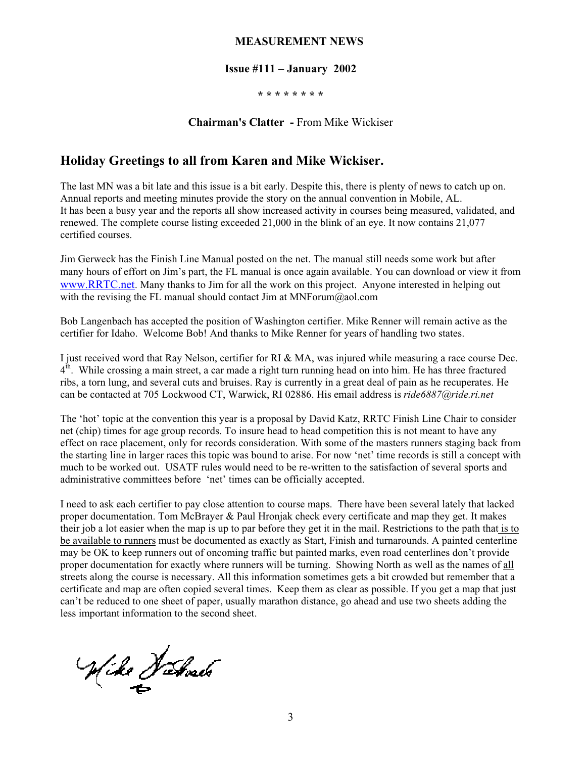#### **MEASUREMENT NEWS**

#### **Issue #111 – January 2002**

**\* \* \* \* \* \* \* \***

**Chairman's Clatter -** From Mike Wickiser

#### **Holiday Greetings to all from Karen and Mike Wickiser.**

The last MN was a bit late and this issue is a bit early. Despite this, there is plenty of news to catch up on. Annual reports and meeting minutes provide the story on the annual convention in Mobile, AL. It has been a busy year and the reports all show increased activity in courses being measured, validated, and renewed. The complete course listing exceeded 21,000 in the blink of an eye. It now contains 21,077 certified courses.

Jim Gerweck has the Finish Line Manual posted on the net. The manual still needs some work but after many hours of effort on Jim's part, the FL manual is once again available. You can download or view it from www.RRTC.net. Many thanks to Jim for all the work on this project. Anyone interested in helping out with the revising the FL manual should contact Jim at  $MNForm@aol.com$ 

Bob Langenbach has accepted the position of Washington certifier. Mike Renner will remain active as the certifier for Idaho. Welcome Bob! And thanks to Mike Renner for years of handling two states.

I just received word that Ray Nelson, certifier for RI & MA, was injured while measuring a race course Dec.  $4<sup>th</sup>$ . While crossing a main street, a car made a right turn running head on into him. He has three fractured ribs, a torn lung, and several cuts and bruises. Ray is currently in a great deal of pain as he recuperates. He can be contacted at 705 Lockwood CT, Warwick, RI 02886. His email address is *ride6887@ride.ri.net*

The 'hot' topic at the convention this year is a proposal by David Katz, RRTC Finish Line Chair to consider net (chip) times for age group records. To insure head to head competition this is not meant to have any effect on race placement, only for records consideration. With some of the masters runners staging back from the starting line in larger races this topic was bound to arise. For now 'net' time records is still a concept with much to be worked out. USATF rules would need to be re-written to the satisfaction of several sports and administrative committees before 'net' times can be officially accepted.

I need to ask each certifier to pay close attention to course maps. There have been several lately that lacked proper documentation. Tom McBrayer & Paul Hronjak check every certificate and map they get. It makes their job a lot easier when the map is up to par before they get it in the mail. Restrictions to the path that is to be available to runners must be documented as exactly as Start, Finish and turnarounds. A painted centerline may be OK to keep runners out of oncoming traffic but painted marks, even road centerlines don't provide proper documentation for exactly where runners will be turning. Showing North as well as the names of all streets along the course is necessary. All this information sometimes gets a bit crowded but remember that a certificate and map are often copied several times. Keep them as clear as possible. If you get a map that just can't be reduced to one sheet of paper, usually marathon distance, go ahead and use two sheets adding the less important information to the second sheet.

Wike Debouts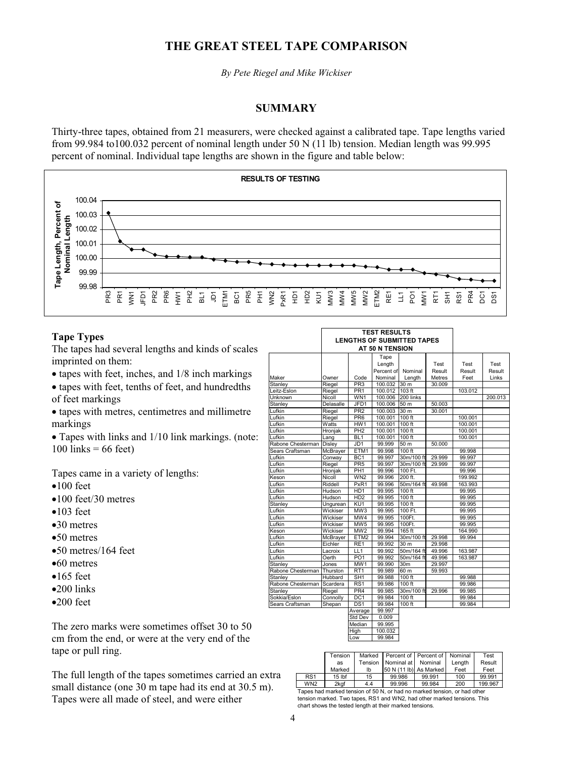### **THE GREAT STEEL TAPE COMPARISON**

*By Pete Riegel and Mike Wickiser*

#### **SUMMARY**

Thirty-three tapes, obtained from 21 measurers, were checked against a calibrated tape. Tape lengths varied from 99.984 to100.032 percent of nominal length under 50 N (11 lb) tension. Median length was 99.995 percent of nominal. Individual tape lengths are shown in the figure and table below:



#### **Tape Types**

The tapes had several lengths and kinds of scales imprinted on them:

- $\bullet$  tapes with feet, inches, and  $1/8$  inch markings
- tapes with feet, tenths of feet, and hundredths of feet markings
- tapes with metres, centimetres and millimetre markings
- $\bullet$  Tapes with links and 1/10 link markings. (note:  $100$  links = 66 feet)

Tapes came in a variety of lengths:

- $•100$  feet
- $•100$  feet/30 metres
- $•103$  feet
- $\bullet$ 30 metres
- $\bullet$ 50 metres
- $\bullet$ 50 metres/164 feet
- $•60$  metres
- $•165$  feet
- $\bullet$ 200 links
- $\bullet$ 200 feet

The zero marks were sometimes offset 30 to 50 cm from the end, or were at the very end of the tape or pull ring.

The full length of the tapes sometimes carried an extra small distance (one 30 m tape had its end at 30.5 m). Tapes were all made of steel, and were either

|                   | <b>LENGTHS OF SUBMITTED TAPES</b><br>AT 50 N TENSION<br>Tape<br>Test<br>Test<br>Test<br>Length<br>Percent of<br>Result<br>Nominal<br>Result<br>Result<br>Nominal<br><b>Metres</b><br>Owner<br>Code<br>Length<br>Feet<br>Links<br>PR <sub>3</sub><br>100.032<br>30 <sub>m</sub><br>Riegel<br>30.009<br>103 ft<br>PR <sub>1</sub><br>103.012<br>Riegel<br>100.012<br>WN <sub>1</sub><br>Nicoll<br>100.006<br>200 links<br>200.013<br>JFD <sub>1</sub><br>Delasalle<br>100.006<br>50 <sub>m</sub><br>50.003<br>PR <sub>2</sub><br>30 <sub>m</sub><br>Riegel<br>100.003<br>30.001<br>$100$ ft<br>Riegel<br>PR <sub>6</sub><br>100.001<br>100.001<br>Watts<br>HW1<br>100.001<br>100 ft<br>100.001<br>PH <sub>2</sub><br>100.001<br>Hronjak<br>100.001<br>100 ft<br>100.001<br>$100$ ft<br>BL <sub>1</sub><br>100.001<br>Lang<br>Disley<br>JD <sub>1</sub><br>99.999<br>50 <sub>m</sub><br>50.000<br>99.998<br>$100$ ft<br>99.998<br><b>McBrayer</b><br>ETM1<br>BC <sub>1</sub><br>99.997<br>30m/100 ft<br>29.999<br>99.997<br>Conway<br>PR <sub>5</sub><br>Riegel<br>99.997<br>30m/100 ft<br>29.999<br>99.997<br>100 Ft.<br>Hronjak<br>PH <sub>1</sub><br>99.996<br>99.996<br>WN <sub>2</sub><br>99.996<br>200 ft.<br>199.992<br>Nicoll<br>Riddell<br>PxR1<br>50m/164 ft<br>99.996<br>49.998<br>163.993<br>H <sub>D</sub> 1<br>99.995<br>$100$ ft<br>Hudson<br>99.995<br>$100$ ft<br>Hudson<br>H <sub>D</sub> <sub>2</sub><br>99.995<br>99.995<br>99.995<br>KU <sub>1</sub><br>99.995<br>$100$ ft<br>Ungurean<br>MW <sub>3</sub><br>100 Ft.<br>Wickiser<br>99.995<br>99.995<br>Wickiser<br>MW4<br>100Ft.<br>99.995<br>99.995<br>MW <sub>5</sub><br>99.995<br>100Ft.<br>99.995<br>Wickiser<br>MW <sub>2</sub><br>99.994<br>$165$ ft<br>Wickiser<br>164.990<br>ETM <sub>2</sub><br>30m/100 ft<br>29.998<br><b>McBrayer</b><br>99.994<br>99.994 |                 |        |                 |        |         |  |
|-------------------|-----------------------------------------------------------------------------------------------------------------------------------------------------------------------------------------------------------------------------------------------------------------------------------------------------------------------------------------------------------------------------------------------------------------------------------------------------------------------------------------------------------------------------------------------------------------------------------------------------------------------------------------------------------------------------------------------------------------------------------------------------------------------------------------------------------------------------------------------------------------------------------------------------------------------------------------------------------------------------------------------------------------------------------------------------------------------------------------------------------------------------------------------------------------------------------------------------------------------------------------------------------------------------------------------------------------------------------------------------------------------------------------------------------------------------------------------------------------------------------------------------------------------------------------------------------------------------------------------------------------------------------------------------------------------------------------------------------------------------------------------------------------------------------------------------------------------------------------|-----------------|--------|-----------------|--------|---------|--|
|                   |                                                                                                                                                                                                                                                                                                                                                                                                                                                                                                                                                                                                                                                                                                                                                                                                                                                                                                                                                                                                                                                                                                                                                                                                                                                                                                                                                                                                                                                                                                                                                                                                                                                                                                                                                                                                                                         |                 |        |                 |        |         |  |
|                   |                                                                                                                                                                                                                                                                                                                                                                                                                                                                                                                                                                                                                                                                                                                                                                                                                                                                                                                                                                                                                                                                                                                                                                                                                                                                                                                                                                                                                                                                                                                                                                                                                                                                                                                                                                                                                                         |                 |        |                 |        |         |  |
|                   |                                                                                                                                                                                                                                                                                                                                                                                                                                                                                                                                                                                                                                                                                                                                                                                                                                                                                                                                                                                                                                                                                                                                                                                                                                                                                                                                                                                                                                                                                                                                                                                                                                                                                                                                                                                                                                         |                 |        |                 |        |         |  |
| Maker             |                                                                                                                                                                                                                                                                                                                                                                                                                                                                                                                                                                                                                                                                                                                                                                                                                                                                                                                                                                                                                                                                                                                                                                                                                                                                                                                                                                                                                                                                                                                                                                                                                                                                                                                                                                                                                                         |                 |        |                 |        |         |  |
| Stanley           |                                                                                                                                                                                                                                                                                                                                                                                                                                                                                                                                                                                                                                                                                                                                                                                                                                                                                                                                                                                                                                                                                                                                                                                                                                                                                                                                                                                                                                                                                                                                                                                                                                                                                                                                                                                                                                         |                 |        |                 |        |         |  |
| Leitz-Eslon       |                                                                                                                                                                                                                                                                                                                                                                                                                                                                                                                                                                                                                                                                                                                                                                                                                                                                                                                                                                                                                                                                                                                                                                                                                                                                                                                                                                                                                                                                                                                                                                                                                                                                                                                                                                                                                                         |                 |        |                 |        |         |  |
| Unknown           |                                                                                                                                                                                                                                                                                                                                                                                                                                                                                                                                                                                                                                                                                                                                                                                                                                                                                                                                                                                                                                                                                                                                                                                                                                                                                                                                                                                                                                                                                                                                                                                                                                                                                                                                                                                                                                         |                 |        |                 |        |         |  |
| Stanlev           |                                                                                                                                                                                                                                                                                                                                                                                                                                                                                                                                                                                                                                                                                                                                                                                                                                                                                                                                                                                                                                                                                                                                                                                                                                                                                                                                                                                                                                                                                                                                                                                                                                                                                                                                                                                                                                         |                 |        |                 |        |         |  |
| Lufkin            |                                                                                                                                                                                                                                                                                                                                                                                                                                                                                                                                                                                                                                                                                                                                                                                                                                                                                                                                                                                                                                                                                                                                                                                                                                                                                                                                                                                                                                                                                                                                                                                                                                                                                                                                                                                                                                         |                 |        |                 |        |         |  |
| Lufkin            |                                                                                                                                                                                                                                                                                                                                                                                                                                                                                                                                                                                                                                                                                                                                                                                                                                                                                                                                                                                                                                                                                                                                                                                                                                                                                                                                                                                                                                                                                                                                                                                                                                                                                                                                                                                                                                         |                 |        |                 |        |         |  |
| Lufkin            |                                                                                                                                                                                                                                                                                                                                                                                                                                                                                                                                                                                                                                                                                                                                                                                                                                                                                                                                                                                                                                                                                                                                                                                                                                                                                                                                                                                                                                                                                                                                                                                                                                                                                                                                                                                                                                         |                 |        |                 |        |         |  |
| Lufkin            |                                                                                                                                                                                                                                                                                                                                                                                                                                                                                                                                                                                                                                                                                                                                                                                                                                                                                                                                                                                                                                                                                                                                                                                                                                                                                                                                                                                                                                                                                                                                                                                                                                                                                                                                                                                                                                         |                 |        |                 |        |         |  |
| Lufkin            |                                                                                                                                                                                                                                                                                                                                                                                                                                                                                                                                                                                                                                                                                                                                                                                                                                                                                                                                                                                                                                                                                                                                                                                                                                                                                                                                                                                                                                                                                                                                                                                                                                                                                                                                                                                                                                         |                 |        |                 |        |         |  |
| Rabone Chesterman |                                                                                                                                                                                                                                                                                                                                                                                                                                                                                                                                                                                                                                                                                                                                                                                                                                                                                                                                                                                                                                                                                                                                                                                                                                                                                                                                                                                                                                                                                                                                                                                                                                                                                                                                                                                                                                         |                 |        |                 |        |         |  |
| Sears Craftsman   |                                                                                                                                                                                                                                                                                                                                                                                                                                                                                                                                                                                                                                                                                                                                                                                                                                                                                                                                                                                                                                                                                                                                                                                                                                                                                                                                                                                                                                                                                                                                                                                                                                                                                                                                                                                                                                         |                 |        |                 |        |         |  |
| Lufkin            |                                                                                                                                                                                                                                                                                                                                                                                                                                                                                                                                                                                                                                                                                                                                                                                                                                                                                                                                                                                                                                                                                                                                                                                                                                                                                                                                                                                                                                                                                                                                                                                                                                                                                                                                                                                                                                         |                 |        |                 |        |         |  |
| Lufkin            |                                                                                                                                                                                                                                                                                                                                                                                                                                                                                                                                                                                                                                                                                                                                                                                                                                                                                                                                                                                                                                                                                                                                                                                                                                                                                                                                                                                                                                                                                                                                                                                                                                                                                                                                                                                                                                         |                 |        |                 |        |         |  |
| Lufkin            |                                                                                                                                                                                                                                                                                                                                                                                                                                                                                                                                                                                                                                                                                                                                                                                                                                                                                                                                                                                                                                                                                                                                                                                                                                                                                                                                                                                                                                                                                                                                                                                                                                                                                                                                                                                                                                         |                 |        |                 |        |         |  |
| Keson             |                                                                                                                                                                                                                                                                                                                                                                                                                                                                                                                                                                                                                                                                                                                                                                                                                                                                                                                                                                                                                                                                                                                                                                                                                                                                                                                                                                                                                                                                                                                                                                                                                                                                                                                                                                                                                                         |                 |        |                 |        |         |  |
| Lufkin            |                                                                                                                                                                                                                                                                                                                                                                                                                                                                                                                                                                                                                                                                                                                                                                                                                                                                                                                                                                                                                                                                                                                                                                                                                                                                                                                                                                                                                                                                                                                                                                                                                                                                                                                                                                                                                                         |                 |        |                 |        |         |  |
| Lufkin            |                                                                                                                                                                                                                                                                                                                                                                                                                                                                                                                                                                                                                                                                                                                                                                                                                                                                                                                                                                                                                                                                                                                                                                                                                                                                                                                                                                                                                                                                                                                                                                                                                                                                                                                                                                                                                                         |                 |        |                 |        |         |  |
| Lufkin            |                                                                                                                                                                                                                                                                                                                                                                                                                                                                                                                                                                                                                                                                                                                                                                                                                                                                                                                                                                                                                                                                                                                                                                                                                                                                                                                                                                                                                                                                                                                                                                                                                                                                                                                                                                                                                                         |                 |        |                 |        |         |  |
| Stanley           |                                                                                                                                                                                                                                                                                                                                                                                                                                                                                                                                                                                                                                                                                                                                                                                                                                                                                                                                                                                                                                                                                                                                                                                                                                                                                                                                                                                                                                                                                                                                                                                                                                                                                                                                                                                                                                         |                 |        |                 |        |         |  |
| Lufkin            |                                                                                                                                                                                                                                                                                                                                                                                                                                                                                                                                                                                                                                                                                                                                                                                                                                                                                                                                                                                                                                                                                                                                                                                                                                                                                                                                                                                                                                                                                                                                                                                                                                                                                                                                                                                                                                         |                 |        |                 |        |         |  |
| Lufkin            |                                                                                                                                                                                                                                                                                                                                                                                                                                                                                                                                                                                                                                                                                                                                                                                                                                                                                                                                                                                                                                                                                                                                                                                                                                                                                                                                                                                                                                                                                                                                                                                                                                                                                                                                                                                                                                         |                 |        |                 |        |         |  |
| Lufkin            |                                                                                                                                                                                                                                                                                                                                                                                                                                                                                                                                                                                                                                                                                                                                                                                                                                                                                                                                                                                                                                                                                                                                                                                                                                                                                                                                                                                                                                                                                                                                                                                                                                                                                                                                                                                                                                         |                 |        |                 |        |         |  |
| Keson             |                                                                                                                                                                                                                                                                                                                                                                                                                                                                                                                                                                                                                                                                                                                                                                                                                                                                                                                                                                                                                                                                                                                                                                                                                                                                                                                                                                                                                                                                                                                                                                                                                                                                                                                                                                                                                                         |                 |        |                 |        |         |  |
| Lufkin            |                                                                                                                                                                                                                                                                                                                                                                                                                                                                                                                                                                                                                                                                                                                                                                                                                                                                                                                                                                                                                                                                                                                                                                                                                                                                                                                                                                                                                                                                                                                                                                                                                                                                                                                                                                                                                                         |                 |        |                 |        |         |  |
| Lufkin            | Eichler                                                                                                                                                                                                                                                                                                                                                                                                                                                                                                                                                                                                                                                                                                                                                                                                                                                                                                                                                                                                                                                                                                                                                                                                                                                                                                                                                                                                                                                                                                                                                                                                                                                                                                                                                                                                                                 | RE <sub>1</sub> | 99.992 | 30 <sub>m</sub> | 29.998 |         |  |
| Lufkin            | Lacroix                                                                                                                                                                                                                                                                                                                                                                                                                                                                                                                                                                                                                                                                                                                                                                                                                                                                                                                                                                                                                                                                                                                                                                                                                                                                                                                                                                                                                                                                                                                                                                                                                                                                                                                                                                                                                                 | LL <sub>1</sub> | 99.992 | 50m/164 ft      | 49.996 | 163.987 |  |
| Lufkin            | Oerth                                                                                                                                                                                                                                                                                                                                                                                                                                                                                                                                                                                                                                                                                                                                                                                                                                                                                                                                                                                                                                                                                                                                                                                                                                                                                                                                                                                                                                                                                                                                                                                                                                                                                                                                                                                                                                   | PO <sub>1</sub> | 99.992 | 50m/164 ft      | 49.996 | 163.987 |  |
| Stanley           | Jones                                                                                                                                                                                                                                                                                                                                                                                                                                                                                                                                                                                                                                                                                                                                                                                                                                                                                                                                                                                                                                                                                                                                                                                                                                                                                                                                                                                                                                                                                                                                                                                                                                                                                                                                                                                                                                   | MW <sub>1</sub> | 99.990 | 30 <sub>m</sub> | 29.997 |         |  |
| Rabone Chesterman | Thurston                                                                                                                                                                                                                                                                                                                                                                                                                                                                                                                                                                                                                                                                                                                                                                                                                                                                                                                                                                                                                                                                                                                                                                                                                                                                                                                                                                                                                                                                                                                                                                                                                                                                                                                                                                                                                                | RT <sub>1</sub> | 99.989 | 60 <sub>m</sub> | 59.993 |         |  |
| Stanlev           | Hubbard                                                                                                                                                                                                                                                                                                                                                                                                                                                                                                                                                                                                                                                                                                                                                                                                                                                                                                                                                                                                                                                                                                                                                                                                                                                                                                                                                                                                                                                                                                                                                                                                                                                                                                                                                                                                                                 | SH <sub>1</sub> | 99.988 | $100$ ft        |        | 99.988  |  |
| Rabone Chesterman | Scardera                                                                                                                                                                                                                                                                                                                                                                                                                                                                                                                                                                                                                                                                                                                                                                                                                                                                                                                                                                                                                                                                                                                                                                                                                                                                                                                                                                                                                                                                                                                                                                                                                                                                                                                                                                                                                                | RS <sub>1</sub> | 99.986 | $100$ ft        |        | 99.986  |  |
| Stanley           | Riegel                                                                                                                                                                                                                                                                                                                                                                                                                                                                                                                                                                                                                                                                                                                                                                                                                                                                                                                                                                                                                                                                                                                                                                                                                                                                                                                                                                                                                                                                                                                                                                                                                                                                                                                                                                                                                                  | PR <sub>4</sub> | 99.985 | 30m/100 ft      | 29.996 | 99.985  |  |
| Sokkia/Eslon      | Connolly                                                                                                                                                                                                                                                                                                                                                                                                                                                                                                                                                                                                                                                                                                                                                                                                                                                                                                                                                                                                                                                                                                                                                                                                                                                                                                                                                                                                                                                                                                                                                                                                                                                                                                                                                                                                                                | DC <sub>1</sub> | 99.984 | $100$ ft        |        | 99.984  |  |
| Sears Craftsman   | Shepan                                                                                                                                                                                                                                                                                                                                                                                                                                                                                                                                                                                                                                                                                                                                                                                                                                                                                                                                                                                                                                                                                                                                                                                                                                                                                                                                                                                                                                                                                                                                                                                                                                                                                                                                                                                                                                  | DS <sub>1</sub> | 99.984 | $100$ ft        |        | 99.984  |  |
|                   |                                                                                                                                                                                                                                                                                                                                                                                                                                                                                                                                                                                                                                                                                                                                                                                                                                                                                                                                                                                                                                                                                                                                                                                                                                                                                                                                                                                                                                                                                                                                                                                                                                                                                                                                                                                                                                         | Average         | 99.997 |                 |        |         |  |
|                   |                                                                                                                                                                                                                                                                                                                                                                                                                                                                                                                                                                                                                                                                                                                                                                                                                                                                                                                                                                                                                                                                                                                                                                                                                                                                                                                                                                                                                                                                                                                                                                                                                                                                                                                                                                                                                                         | Std Dev         | 0.009  |                 |        |         |  |

 **TEST RESULTS**

| Std Dev | 0.009   |
|---------|---------|
| Median  | 99.995  |
| ligh    | 100.032 |
| WC      | 99.984  |
|         |         |

|                 | Tension           | Marked  | Percent of Percent of Nominal |        |        | Test    |
|-----------------|-------------------|---------|-------------------------------|--------|--------|---------|
|                 | as                | Tension | Nominal at Nominal            |        | Lenath | Result  |
|                 | Marked            | Ib      | 50 N (11 lb) As Marked        |        | Feet   | Feet    |
| RS <sub>1</sub> | 15 <sub>lbf</sub> | 15      | 99.986                        | 99.991 | 100    | 99.991  |
| WN <sub>2</sub> | 2kgf              | 4.4     | 99.996                        | 99.984 | 200    | 199.967 |

Tapes had marked tension of 50 N, or had no marked tension, or had other tension marked. Two tapes, RS1 and WN2, had other marked tensions. This chart shows the tested length at their marked tensions.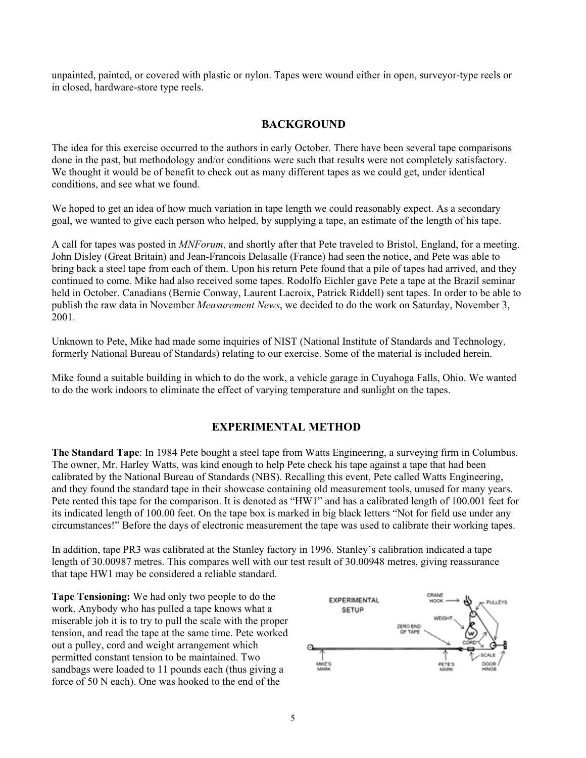unpainted, painted, or covered with plastic or nylon. Tapes were wound either in open, surveyor-type reels or in closed, hardware-store type reels.

#### **BACKGROUND**

The idea for this exercise occurred to the authors in early October. There have been several tape comparisons done in the past, but methodology and/or conditions were such that results were not completely satisfactory. We thought it would be of benefit to check out as many different tapes as we could get, under identical conditions, and see what we found.

We hoped to get an idea of how much variation in tape length we could reasonably expect. As a secondary goal, we wanted to give each person who helped, by supplying a tape, an estimate of the length of his tape.

A call for tapes was posted in *MNForum*, and shortly after that Pete traveled to Bristol, England, for a meeting. John Disley (Great Britain) and Jean-Francois Delasalle (France) had seen the notice, and Pete was able to bring back a steel tape from each of them. Upon his return Pete found that a pile of tapes had arrived, and they continued to come. Mike had also received some tapes. Rodolfo Eichler gave Pete a tape at the Brazil seminar held in October. Canadians (Bernie Conway, Laurent Lacroix, Patrick Riddell) sent tapes. In order to be able to publish the raw data in November *Measurement News*, we decided to do the work on Saturday, November 3, 2001.

Unknown to Pete, Mike had made some inquiries of NIST (National Institute of Standards and Technology, formerly National Bureau of Standards) relating to our exercise. Some of the material is included herein.

Mike found a suitable building in which to do the work, a vehicle garage in Cuyahoga Falls, Ohio. We wanted to do the work indoors to eliminate the effect of varying temperature and sunlight on the tapes.

#### **EXPERIMENTAL METHOD**

**The Standard Tape**: In 1984 Pete bought a steel tape from Watts Engineering, a surveying firm in Columbus. The owner, Mr. Harley Watts, was kind enough to help Pete check his tape against a tape that had been calibrated by the National Bureau of Standards (NBS). Recalling this event, Pete called Watts Engineering, and they found the standard tape in their showcase containing old measurement tools, unused for many years. Pete rented this tape for the comparison. It is denoted as "HW1" and has a calibrated length of 100.001 feet for its indicated length of 100.00 feet. On the tape box is marked in big black letters "Not for field use under any circumstances!" Before the days of electronic measurement the tape was used to calibrate their working tapes.

In addition, tape PR3 was calibrated at the Stanley factory in 1996. Stanley's calibration indicated a tape length of 30.00987 metres. This compares well with our test result of 30.00948 metres, giving reassurance that tape HW1 may be considered a reliable standard.

**Tape Tensioning:** We had only two people to do the work. Anybody who has pulled a tape knows what a miserable job it is to try to pull the scale with the proper tension, and read the tape at the same time. Pete worked out a pulley, cord and weight arrangement which permitted constant tension to be maintained. Two sandbags were loaded to 11 pounds each (thus giving a force of 50 N each). One was hooked to the end of the

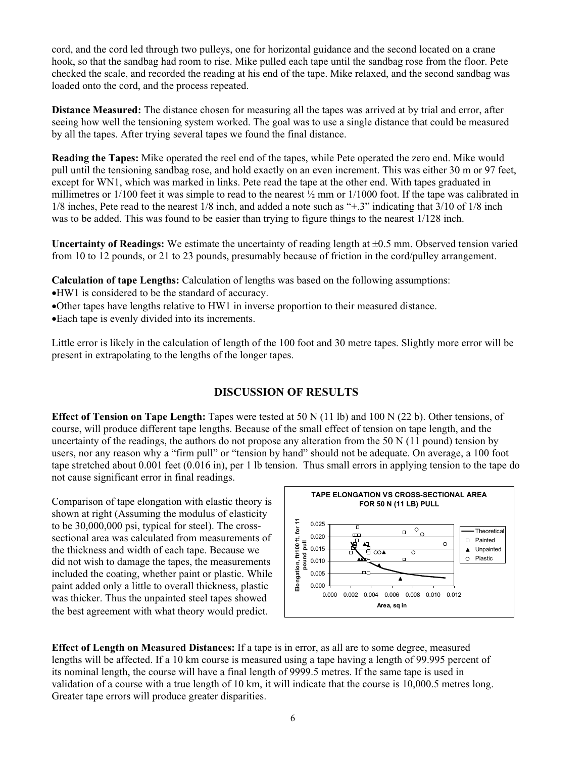cord, and the cord led through two pulleys, one for horizontal guidance and the second located on a crane hook, so that the sandbag had room to rise. Mike pulled each tape until the sandbag rose from the floor. Pete checked the scale, and recorded the reading at his end of the tape. Mike relaxed, and the second sandbag was loaded onto the cord, and the process repeated.

**Distance Measured:** The distance chosen for measuring all the tapes was arrived at by trial and error, after seeing how well the tensioning system worked. The goal was to use a single distance that could be measured by all the tapes. After trying several tapes we found the final distance.

**Reading the Tapes:** Mike operated the reel end of the tapes, while Pete operated the zero end. Mike would pull until the tensioning sandbag rose, and hold exactly on an even increment. This was either 30 m or 97 feet, except for WN1, which was marked in links. Pete read the tape at the other end. With tapes graduated in millimetres or  $1/100$  feet it was simple to read to the nearest  $\frac{1}{2}$  mm or  $1/1000$  foot. If the tape was calibrated in 1/8 inches, Pete read to the nearest 1/8 inch, and added a note such as "+.3" indicating that 3/10 of 1/8 inch was to be added. This was found to be easier than trying to figure things to the nearest 1/128 inch.

**Uncertainty of Readings:** We estimate the uncertainty of reading length at  $\pm 0.5$  mm. Observed tension varied from 10 to 12 pounds, or 21 to 23 pounds, presumably because of friction in the cord/pulley arrangement.

**Calculation of tape Lengths:** Calculation of lengths was based on the following assumptions:

- xHW1 is considered to be the standard of accuracy.
- •Other tapes have lengths relative to HW1 in inverse proportion to their measured distance.
- Each tape is evenly divided into its increments.

Little error is likely in the calculation of length of the 100 foot and 30 metre tapes. Slightly more error will be present in extrapolating to the lengths of the longer tapes.

#### **DISCUSSION OF RESULTS**

**Effect of Tension on Tape Length:** Tapes were tested at 50 N (11 lb) and 100 N (22 b). Other tensions, of course, will produce different tape lengths. Because of the small effect of tension on tape length, and the uncertainty of the readings, the authors do not propose any alteration from the 50 N (11 pound) tension by users, nor any reason why a "firm pull" or "tension by hand" should not be adequate. On average, a 100 foot tape stretched about 0.001 feet (0.016 in), per 1 lb tension. Thus small errors in applying tension to the tape do not cause significant error in final readings.

Comparison of tape elongation with elastic theory is shown at right (Assuming the modulus of elasticity to be 30,000,000 psi, typical for steel). The crosssectional area was calculated from measurements of the thickness and width of each tape. Because we did not wish to damage the tapes, the measurements included the coating, whether paint or plastic. While paint added only a little to overall thickness, plastic was thicker. Thus the unpainted steel tapes showed the best agreement with what theory would predict.



**Effect of Length on Measured Distances:** If a tape is in error, as all are to some degree, measured lengths will be affected. If a 10 km course is measured using a tape having a length of 99.995 percent of its nominal length, the course will have a final length of 9999.5 metres. If the same tape is used in validation of a course with a true length of 10 km, it will indicate that the course is 10,000.5 metres long. Greater tape errors will produce greater disparities.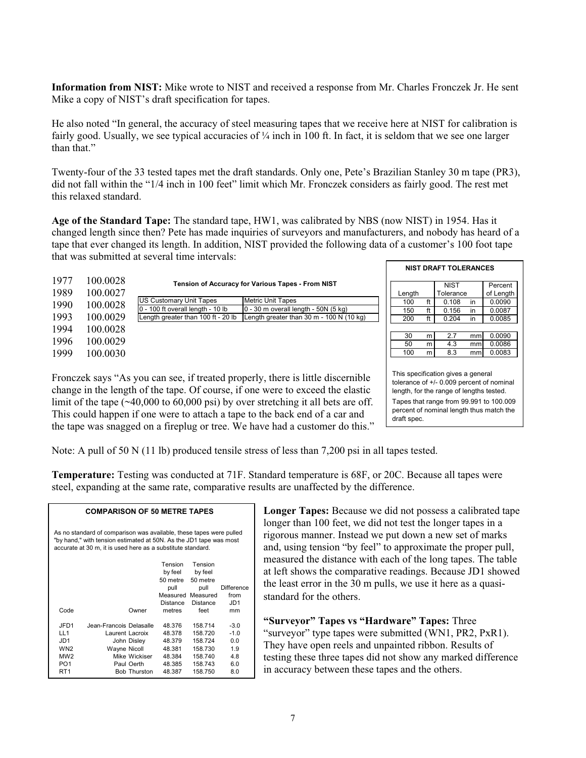**Information from NIST:** Mike wrote to NIST and received a response from Mr. Charles Fronczek Jr. He sent Mike a copy of NIST's draft specification for tapes.

He also noted "In general, the accuracy of steel measuring tapes that we receive here at NIST for calibration is fairly good. Usually, we see typical accuracies of  $\frac{1}{4}$  inch in 100 ft. In fact, it is seldom that we see one larger than that."

Twenty-four of the 33 tested tapes met the draft standards. Only one, Pete's Brazilian Stanley 30 m tape (PR3), did not fall within the "1/4 inch in 100 feet" limit which Mr. Fronczek considers as fairly good. The rest met this relaxed standard.

**Age of the Standard Tape:** The standard tape, HW1, was calibrated by NBS (now NIST) in 1954. Has it changed length since then? Pete has made inquiries of surveyors and manufacturers, and nobody has heard of a tape that ever changed its length. In addition, NIST provided the following data of a customer's 100 foot tape that was submitted at several time intervals:

| 1977 |          |                                    |                                                              |        |   |             |    |           |
|------|----------|------------------------------------|--------------------------------------------------------------|--------|---|-------------|----|-----------|
|      | 100.0028 |                                    | <b>Tension of Accuracy for Various Tapes - From NIST</b>     |        |   | <b>NIST</b> |    | Percent   |
| 1989 | 100.0027 |                                    |                                                              | Lenath |   | Tolerance   |    | of Lengtl |
| 1990 | 100.0028 | US Customary Unit Tapes            | <b>Metric Unit Tapes</b>                                     | 100    |   | 0.108       | in | 0.0090    |
|      |          | 0 - 100 ft overall length - 10 lb  | 0 - 30 m overall length - 50N (5 kg)                         | 150    |   | 0.156       | in | 0.0087    |
| 1993 | 100.0029 | Length greater than 100 ft - 20 lb | Length greater than $30 \text{ m}$ - $100 \text{ N}$ (10 kg) | 200    |   | 0.204       | in | 0.0085    |
| 1994 | 100.0028 |                                    |                                                              |        |   |             |    |           |
|      |          |                                    |                                                              | 30     | m | 2.7         | mm | 0.0090    |
| 1996 | 100.0029 |                                    |                                                              | 50     | m | 4.3         | mm | 0.0086    |
| 1999 | 100.0030 |                                    |                                                              | 100    | m | 8.3         | mm | 0.0083    |
|      |          |                                    |                                                              |        |   |             |    |           |

Fronczek says "As you can see, if treated properly, there is little discernible change in the length of the tape. Of course, if one were to exceed the elastic limit of the tape (~40,000 to 60,000 psi) by over stretching it all bets are off. This could happen if one were to attach a tape to the back end of a car and the tape was snagged on a fireplug or tree. We have had a customer do this."

This specification gives a general tolerance of +/- 0.009 percent of nominal length, for the range of lengths tested. Tapes that range from 99.991 to 100.009 percent of nominal length thus match the draft spec.

 **NIST DRAFT TOLERANCES**

Percent of Length  $0.0090$  $0.0087$  $0.0085$  $0.0090$ 0.0086

Note: A pull of 50 N (11 lb) produced tensile stress of less than 7,200 psi in all tapes tested.

**Temperature:** Testing was conducted at 71F. Standard temperature is 68F, or 20C. Because all tapes were steel, expanding at the same rate, comparative results are unaffected by the difference.

| As no standard of comparison was available, these tapes were pulled<br>"by hand," with tension estimated at 50N. As the JD1 tape was most<br>accurate at 30 m, it is used here as a substitute standard. |                         |          |                           |                   |  |  |  |  |  |
|----------------------------------------------------------------------------------------------------------------------------------------------------------------------------------------------------------|-------------------------|----------|---------------------------|-------------------|--|--|--|--|--|
|                                                                                                                                                                                                          |                         | Tension  | Tension                   |                   |  |  |  |  |  |
|                                                                                                                                                                                                          |                         | by feel  | by feel                   |                   |  |  |  |  |  |
|                                                                                                                                                                                                          |                         | pull     | 50 metre 50 metre<br>pull | <b>Difference</b> |  |  |  |  |  |
|                                                                                                                                                                                                          |                         |          | Measured Measured         | from              |  |  |  |  |  |
|                                                                                                                                                                                                          |                         |          |                           | JD1               |  |  |  |  |  |
|                                                                                                                                                                                                          |                         | Distance | Distance                  |                   |  |  |  |  |  |
| Code                                                                                                                                                                                                     | Owner                   | metres   | feet                      | mm                |  |  |  |  |  |
| JFD1                                                                                                                                                                                                     | Jean-Francois Delasalle | 48.376   | 158.714                   | $-3.0$            |  |  |  |  |  |
| LL1                                                                                                                                                                                                      | Laurent Lacroix         | 48.378   | 158.720                   | $-1.0$            |  |  |  |  |  |
| JD1                                                                                                                                                                                                      | John Disley             | 48.379   | 158.724                   | 0.0               |  |  |  |  |  |
| WN <sub>2</sub>                                                                                                                                                                                          | Wayne Nicoll            | 48.381   | 158.730                   | 1.9               |  |  |  |  |  |
| MW <sub>2</sub>                                                                                                                                                                                          | Mike Wickiser           | 48.384   | 158.740                   | 4.8               |  |  |  |  |  |
| PO <sub>1</sub>                                                                                                                                                                                          | Paul Oerth              | 48.385   | 158.743                   | 6.0               |  |  |  |  |  |
| RT <sub>1</sub>                                                                                                                                                                                          | <b>Bob Thurston</b>     | 48.387   | 158.750                   | 8.0               |  |  |  |  |  |

**COMPARISON OF 50 METRE TAPES**

**Longer Tapes:** Because we did not possess a calibrated tape longer than 100 feet, we did not test the longer tapes in a rigorous manner. Instead we put down a new set of marks and, using tension "by feel" to approximate the proper pull, measured the distance with each of the long tapes. The table at left shows the comparative readings. Because JD1 showed the least error in the 30 m pulls, we use it here as a quasistandard for the others.

**"Surveyor" Tapes vs "Hardware" Tapes:** Three "surveyor" type tapes were submitted (WN1, PR2, PxR1). They have open reels and unpainted ribbon. Results of testing these three tapes did not show any marked difference in accuracy between these tapes and the others.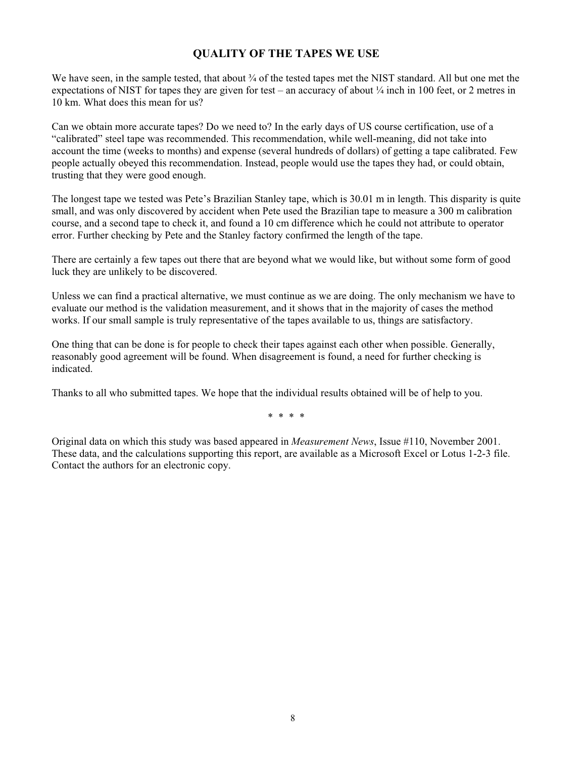#### **QUALITY OF THE TAPES WE USE**

We have seen, in the sample tested, that about  $\frac{3}{4}$  of the tested tapes met the NIST standard. All but one met the expectations of NIST for tapes they are given for test – an accuracy of about ¼ inch in 100 feet, or 2 metres in 10 km. What does this mean for us?

Can we obtain more accurate tapes? Do we need to? In the early days of US course certification, use of a "calibrated" steel tape was recommended. This recommendation, while well-meaning, did not take into account the time (weeks to months) and expense (several hundreds of dollars) of getting a tape calibrated. Few people actually obeyed this recommendation. Instead, people would use the tapes they had, or could obtain, trusting that they were good enough.

The longest tape we tested was Pete's Brazilian Stanley tape, which is 30.01 m in length. This disparity is quite small, and was only discovered by accident when Pete used the Brazilian tape to measure a 300 m calibration course, and a second tape to check it, and found a 10 cm difference which he could not attribute to operator error. Further checking by Pete and the Stanley factory confirmed the length of the tape.

There are certainly a few tapes out there that are beyond what we would like, but without some form of good luck they are unlikely to be discovered.

Unless we can find a practical alternative, we must continue as we are doing. The only mechanism we have to evaluate our method is the validation measurement, and it shows that in the majority of cases the method works. If our small sample is truly representative of the tapes available to us, things are satisfactory.

One thing that can be done is for people to check their tapes against each other when possible. Generally, reasonably good agreement will be found. When disagreement is found, a need for further checking is indicated.

Thanks to all who submitted tapes. We hope that the individual results obtained will be of help to you.

\* \* \* \*

Original data on which this study was based appeared in *Measurement News*, Issue #110, November 2001. These data, and the calculations supporting this report, are available as a Microsoft Excel or Lotus 1-2-3 file. Contact the authors for an electronic copy.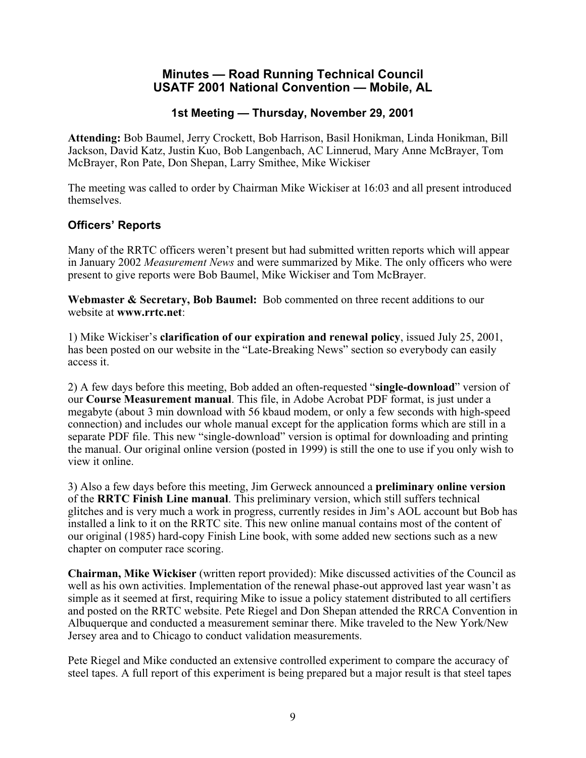#### **Minutes — Road Running Technical Council USATF 2001 National Convention — Mobile, AL**

#### **1st Meeting — Thursday, November 29, 2001**

**Attending:** Bob Baumel, Jerry Crockett, Bob Harrison, Basil Honikman, Linda Honikman, Bill Jackson, David Katz, Justin Kuo, Bob Langenbach, AC Linnerud, Mary Anne McBrayer, Tom McBrayer, Ron Pate, Don Shepan, Larry Smithee, Mike Wickiser

The meeting was called to order by Chairman Mike Wickiser at 16:03 and all present introduced themselves.

#### **Officers' Reports**

Many of the RRTC officers weren't present but had submitted written reports which will appear in January 2002 *Measurement News* and were summarized by Mike. The only officers who were present to give reports were Bob Baumel, Mike Wickiser and Tom McBrayer.

**Webmaster & Secretary, Bob Baumel:** Bob commented on three recent additions to our website at **www.rrtc.net**:

1) Mike Wickiser's **clarification of our expiration and renewal policy**, issued July 25, 2001, has been posted on our website in the "Late-Breaking News" section so everybody can easily access it.

2) A few days before this meeting, Bob added an often-requested "**single-download**" version of our **Course Measurement manual**. This file, in Adobe Acrobat PDF format, is just under a megabyte (about 3 min download with 56 kbaud modem, or only a few seconds with high-speed connection) and includes our whole manual except for the application forms which are still in a separate PDF file. This new "single-download" version is optimal for downloading and printing the manual. Our original online version (posted in 1999) is still the one to use if you only wish to view it online.

3) Also a few days before this meeting, Jim Gerweck announced a **preliminary online version** of the **RRTC Finish Line manual**. This preliminary version, which still suffers technical glitches and is very much a work in progress, currently resides in Jim's AOL account but Bob has installed a link to it on the RRTC site. This new online manual contains most of the content of our original (1985) hard-copy Finish Line book, with some added new sections such as a new chapter on computer race scoring.

**Chairman, Mike Wickiser** (written report provided): Mike discussed activities of the Council as well as his own activities. Implementation of the renewal phase-out approved last year wasn't as simple as it seemed at first, requiring Mike to issue a policy statement distributed to all certifiers and posted on the RRTC website. Pete Riegel and Don Shepan attended the RRCA Convention in Albuquerque and conducted a measurement seminar there. Mike traveled to the New York/New Jersey area and to Chicago to conduct validation measurements.

Pete Riegel and Mike conducted an extensive controlled experiment to compare the accuracy of steel tapes. A full report of this experiment is being prepared but a major result is that steel tapes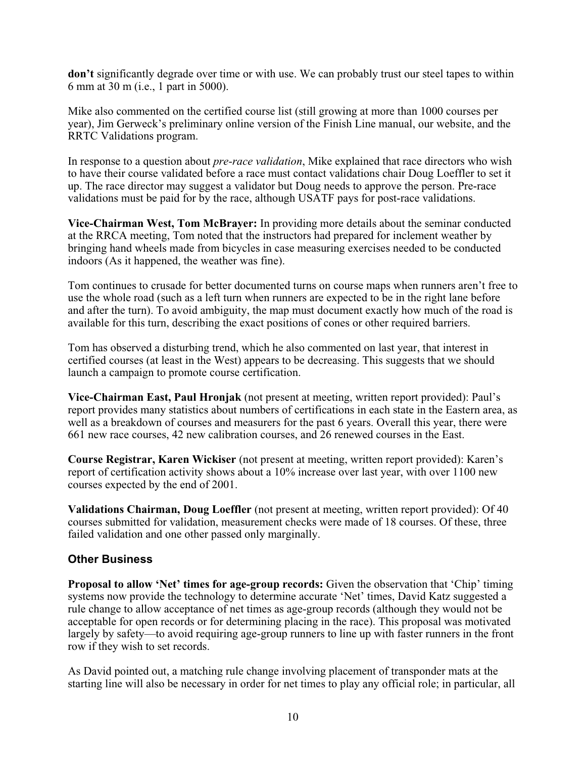**don't** significantly degrade over time or with use. We can probably trust our steel tapes to within 6 mm at 30 m (i.e., 1 part in 5000).

Mike also commented on the certified course list (still growing at more than 1000 courses per year), Jim Gerweck's preliminary online version of the Finish Line manual, our website, and the RRTC Validations program.

In response to a question about *pre-race validation*, Mike explained that race directors who wish to have their course validated before a race must contact validations chair Doug Loeffler to set it up. The race director may suggest a validator but Doug needs to approve the person. Pre-race validations must be paid for by the race, although USATF pays for post-race validations.

**Vice-Chairman West, Tom McBrayer:** In providing more details about the seminar conducted at the RRCA meeting, Tom noted that the instructors had prepared for inclement weather by bringing hand wheels made from bicycles in case measuring exercises needed to be conducted indoors (As it happened, the weather was fine).

Tom continues to crusade for better documented turns on course maps when runners aren't free to use the whole road (such as a left turn when runners are expected to be in the right lane before and after the turn). To avoid ambiguity, the map must document exactly how much of the road is available for this turn, describing the exact positions of cones or other required barriers.

Tom has observed a disturbing trend, which he also commented on last year, that interest in certified courses (at least in the West) appears to be decreasing. This suggests that we should launch a campaign to promote course certification.

**Vice-Chairman East, Paul Hronjak** (not present at meeting, written report provided): Paul's report provides many statistics about numbers of certifications in each state in the Eastern area, as well as a breakdown of courses and measurers for the past 6 years. Overall this year, there were 661 new race courses, 42 new calibration courses, and 26 renewed courses in the East.

**Course Registrar, Karen Wickiser** (not present at meeting, written report provided): Karen's report of certification activity shows about a 10% increase over last year, with over 1100 new courses expected by the end of 2001.

**Validations Chairman, Doug Loeffler** (not present at meeting, written report provided): Of 40 courses submitted for validation, measurement checks were made of 18 courses. Of these, three failed validation and one other passed only marginally.

#### **Other Business**

**Proposal to allow 'Net' times for age-group records:** Given the observation that 'Chip' timing systems now provide the technology to determine accurate 'Net' times, David Katz suggested a rule change to allow acceptance of net times as age-group records (although they would not be acceptable for open records or for determining placing in the race). This proposal was motivated largely by safety—to avoid requiring age-group runners to line up with faster runners in the front row if they wish to set records.

As David pointed out, a matching rule change involving placement of transponder mats at the starting line will also be necessary in order for net times to play any official role; in particular, all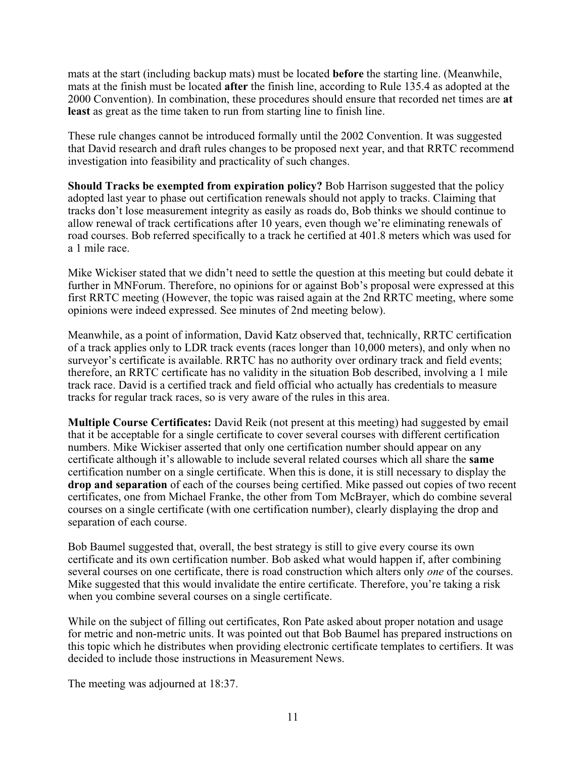mats at the start (including backup mats) must be located **before** the starting line. (Meanwhile, mats at the finish must be located **after** the finish line, according to Rule 135.4 as adopted at the 2000 Convention). In combination, these procedures should ensure that recorded net times are **at least** as great as the time taken to run from starting line to finish line.

These rule changes cannot be introduced formally until the 2002 Convention. It was suggested that David research and draft rules changes to be proposed next year, and that RRTC recommend investigation into feasibility and practicality of such changes.

**Should Tracks be exempted from expiration policy?** Bob Harrison suggested that the policy adopted last year to phase out certification renewals should not apply to tracks. Claiming that tracks don't lose measurement integrity as easily as roads do, Bob thinks we should continue to allow renewal of track certifications after 10 years, even though we're eliminating renewals of road courses. Bob referred specifically to a track he certified at 401.8 meters which was used for a 1 mile race.

Mike Wickiser stated that we didn't need to settle the question at this meeting but could debate it further in MNForum. Therefore, no opinions for or against Bob's proposal were expressed at this first RRTC meeting (However, the topic was raised again at the 2nd RRTC meeting, where some opinions were indeed expressed. See minutes of 2nd meeting below).

Meanwhile, as a point of information, David Katz observed that, technically, RRTC certification of a track applies only to LDR track events (races longer than 10,000 meters), and only when no surveyor's certificate is available. RRTC has no authority over ordinary track and field events; therefore, an RRTC certificate has no validity in the situation Bob described, involving a 1 mile track race. David is a certified track and field official who actually has credentials to measure tracks for regular track races, so is very aware of the rules in this area.

**Multiple Course Certificates:** David Reik (not present at this meeting) had suggested by email that it be acceptable for a single certificate to cover several courses with different certification numbers. Mike Wickiser asserted that only one certification number should appear on any certificate although it's allowable to include several related courses which all share the **same** certification number on a single certificate. When this is done, it is still necessary to display the **drop and separation** of each of the courses being certified. Mike passed out copies of two recent certificates, one from Michael Franke, the other from Tom McBrayer, which do combine several courses on a single certificate (with one certification number), clearly displaying the drop and separation of each course.

Bob Baumel suggested that, overall, the best strategy is still to give every course its own certificate and its own certification number. Bob asked what would happen if, after combining several courses on one certificate, there is road construction which alters only *one* of the courses. Mike suggested that this would invalidate the entire certificate. Therefore, you're taking a risk when you combine several courses on a single certificate.

While on the subject of filling out certificates, Ron Pate asked about proper notation and usage for metric and non-metric units. It was pointed out that Bob Baumel has prepared instructions on this topic which he distributes when providing electronic certificate templates to certifiers. It was decided to include those instructions in Measurement News.

The meeting was adjourned at 18:37.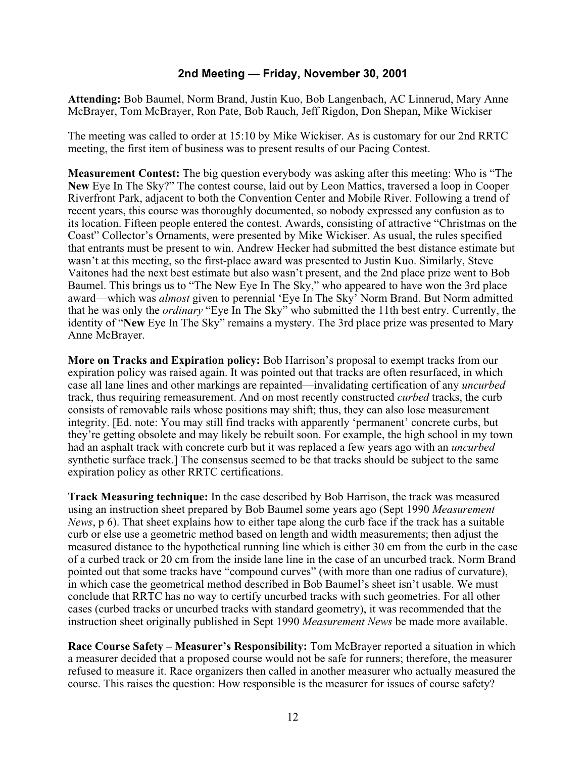#### **2nd Meeting — Friday, November 30, 2001**

**Attending:** Bob Baumel, Norm Brand, Justin Kuo, Bob Langenbach, AC Linnerud, Mary Anne McBrayer, Tom McBrayer, Ron Pate, Bob Rauch, Jeff Rigdon, Don Shepan, Mike Wickiser

The meeting was called to order at 15:10 by Mike Wickiser. As is customary for our 2nd RRTC meeting, the first item of business was to present results of our Pacing Contest.

**Measurement Contest:** The big question everybody was asking after this meeting: Who is "The **New** Eye In The Sky?" The contest course, laid out by Leon Mattics, traversed a loop in Cooper Riverfront Park, adjacent to both the Convention Center and Mobile River. Following a trend of recent years, this course was thoroughly documented, so nobody expressed any confusion as to its location. Fifteen people entered the contest. Awards, consisting of attractive "Christmas on the Coast" Collector's Ornaments, were presented by Mike Wickiser. As usual, the rules specified that entrants must be present to win. Andrew Hecker had submitted the best distance estimate but wasn't at this meeting, so the first-place award was presented to Justin Kuo. Similarly, Steve Vaitones had the next best estimate but also wasn't present, and the 2nd place prize went to Bob Baumel. This brings us to "The New Eye In The Sky," who appeared to have won the 3rd place award—which was *almost* given to perennial 'Eye In The Sky' Norm Brand. But Norm admitted that he was only the *ordinary* "Eye In The Sky" who submitted the 11th best entry. Currently, the identity of "**New** Eye In The Sky" remains a mystery. The 3rd place prize was presented to Mary Anne McBrayer.

**More on Tracks and Expiration policy:** Bob Harrison's proposal to exempt tracks from our expiration policy was raised again. It was pointed out that tracks are often resurfaced, in which case all lane lines and other markings are repainted—invalidating certification of any *uncurbed* track, thus requiring remeasurement. And on most recently constructed *curbed* tracks, the curb consists of removable rails whose positions may shift; thus, they can also lose measurement integrity. [Ed. note: You may still find tracks with apparently 'permanent' concrete curbs, but they're getting obsolete and may likely be rebuilt soon. For example, the high school in my town had an asphalt track with concrete curb but it was replaced a few years ago with an *uncurbed* synthetic surface track.] The consensus seemed to be that tracks should be subject to the same expiration policy as other RRTC certifications.

**Track Measuring technique:** In the case described by Bob Harrison, the track was measured using an instruction sheet prepared by Bob Baumel some years ago (Sept 1990 *Measurement News*, p 6). That sheet explains how to either tape along the curb face if the track has a suitable curb or else use a geometric method based on length and width measurements; then adjust the measured distance to the hypothetical running line which is either 30 cm from the curb in the case of a curbed track or 20 cm from the inside lane line in the case of an uncurbed track. Norm Brand pointed out that some tracks have "compound curves" (with more than one radius of curvature), in which case the geometrical method described in Bob Baumel's sheet isn't usable. We must conclude that RRTC has no way to certify uncurbed tracks with such geometries. For all other cases (curbed tracks or uncurbed tracks with standard geometry), it was recommended that the instruction sheet originally published in Sept 1990 *Measurement News* be made more available.

**Race Course Safety – Measurer's Responsibility:** Tom McBrayer reported a situation in which a measurer decided that a proposed course would not be safe for runners; therefore, the measurer refused to measure it. Race organizers then called in another measurer who actually measured the course. This raises the question: How responsible is the measurer for issues of course safety?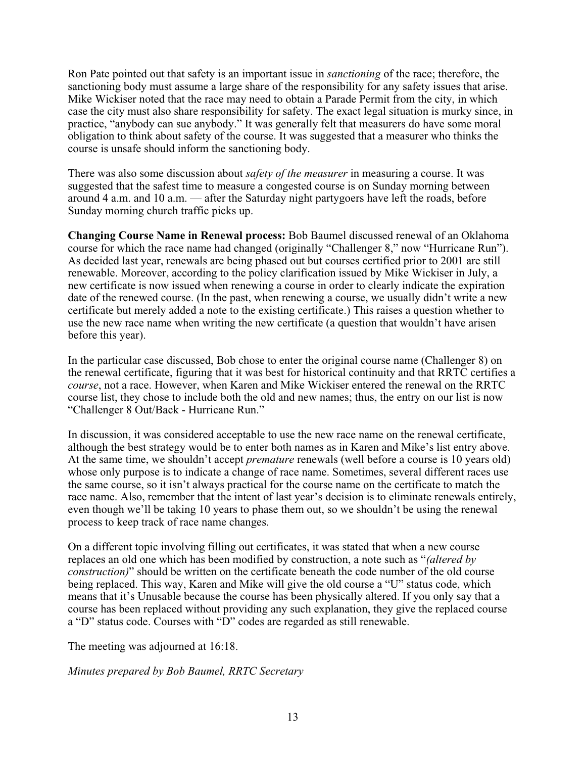Ron Pate pointed out that safety is an important issue in *sanctioning* of the race; therefore, the sanctioning body must assume a large share of the responsibility for any safety issues that arise. Mike Wickiser noted that the race may need to obtain a Parade Permit from the city, in which case the city must also share responsibility for safety. The exact legal situation is murky since, in practice, "anybody can sue anybody." It was generally felt that measurers do have some moral obligation to think about safety of the course. It was suggested that a measurer who thinks the course is unsafe should inform the sanctioning body.

There was also some discussion about *safety of the measurer* in measuring a course. It was suggested that the safest time to measure a congested course is on Sunday morning between around 4 a.m. and 10 a.m. — after the Saturday night partygoers have left the roads, before Sunday morning church traffic picks up.

**Changing Course Name in Renewal process:** Bob Baumel discussed renewal of an Oklahoma course for which the race name had changed (originally "Challenger 8," now "Hurricane Run"). As decided last year, renewals are being phased out but courses certified prior to 2001 are still renewable. Moreover, according to the policy clarification issued by Mike Wickiser in July, a new certificate is now issued when renewing a course in order to clearly indicate the expiration date of the renewed course. (In the past, when renewing a course, we usually didn't write a new certificate but merely added a note to the existing certificate.) This raises a question whether to use the new race name when writing the new certificate (a question that wouldn't have arisen before this year).

In the particular case discussed, Bob chose to enter the original course name (Challenger 8) on the renewal certificate, figuring that it was best for historical continuity and that RRTC certifies a *course*, not a race. However, when Karen and Mike Wickiser entered the renewal on the RRTC course list, they chose to include both the old and new names; thus, the entry on our list is now "Challenger 8 Out/Back - Hurricane Run."

In discussion, it was considered acceptable to use the new race name on the renewal certificate, although the best strategy would be to enter both names as in Karen and Mike's list entry above. At the same time, we shouldn't accept *premature* renewals (well before a course is 10 years old) whose only purpose is to indicate a change of race name. Sometimes, several different races use the same course, so it isn't always practical for the course name on the certificate to match the race name. Also, remember that the intent of last year's decision is to eliminate renewals entirely, even though we'll be taking 10 years to phase them out, so we shouldn't be using the renewal process to keep track of race name changes.

On a different topic involving filling out certificates, it was stated that when a new course replaces an old one which has been modified by construction, a note such as "*(altered by construction)*" should be written on the certificate beneath the code number of the old course being replaced. This way, Karen and Mike will give the old course a "U" status code, which means that it's Unusable because the course has been physically altered. If you only say that a course has been replaced without providing any such explanation, they give the replaced course a "D" status code. Courses with "D" codes are regarded as still renewable.

The meeting was adjourned at 16:18.

*Minutes prepared by Bob Baumel, RRTC Secretary*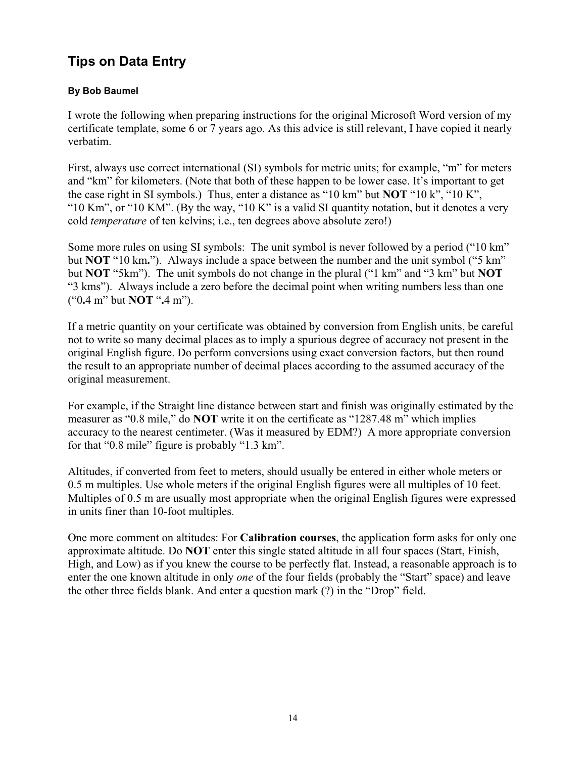### **Tips on Data Entry**

#### **By Bob Baumel**

I wrote the following when preparing instructions for the original Microsoft Word version of my certificate template, some 6 or 7 years ago. As this advice is still relevant, I have copied it nearly verbatim.

First, always use correct international (SI) symbols for metric units; for example, "m" for meters and "km" for kilometers. (Note that both of these happen to be lower case. It's important to get the case right in SI symbols.) Thus, enter a distance as "10 km" but **NOT** "10 k", "10 K", "10 Km", or "10 KM". (By the way, "10 K" is a valid SI quantity notation, but it denotes a very cold *temperature* of ten kelvins; i.e., ten degrees above absolute zero!)

Some more rules on using SI symbols: The unit symbol is never followed by a period ("10 km" but **NOT** "10 km**.**"). Always include a space between the number and the unit symbol ("5 km" but **NOT** "5km"). The unit symbols do not change in the plural ("1 km" and "3 km" but **NOT** "3 kms"). Always include a zero before the decimal point when writing numbers less than one ("0**.**4 m" but **NOT** "**.**4 m").

If a metric quantity on your certificate was obtained by conversion from English units, be careful not to write so many decimal places as to imply a spurious degree of accuracy not present in the original English figure. Do perform conversions using exact conversion factors, but then round the result to an appropriate number of decimal places according to the assumed accuracy of the original measurement.

For example, if the Straight line distance between start and finish was originally estimated by the measurer as "0.8 mile," do **NOT** write it on the certificate as "1287.48 m" which implies accuracy to the nearest centimeter. (Was it measured by EDM?) A more appropriate conversion for that "0.8 mile" figure is probably "1.3 km".

Altitudes, if converted from feet to meters, should usually be entered in either whole meters or 0.5 m multiples. Use whole meters if the original English figures were all multiples of 10 feet. Multiples of 0.5 m are usually most appropriate when the original English figures were expressed in units finer than 10-foot multiples.

One more comment on altitudes: For **Calibration courses**, the application form asks for only one approximate altitude. Do **NOT** enter this single stated altitude in all four spaces (Start, Finish, High, and Low) as if you knew the course to be perfectly flat. Instead, a reasonable approach is to enter the one known altitude in only *one* of the four fields (probably the "Start" space) and leave the other three fields blank. And enter a question mark (?) in the "Drop" field.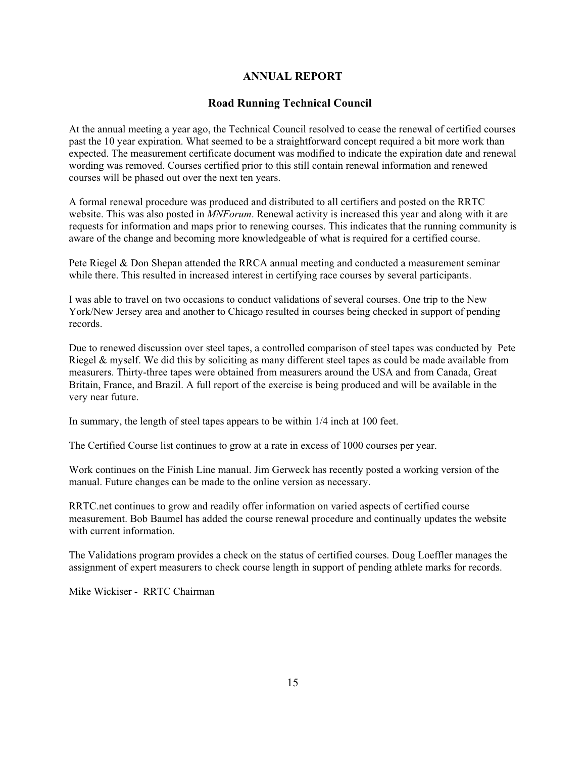#### **ANNUAL REPORT**

#### **Road Running Technical Council**

At the annual meeting a year ago, the Technical Council resolved to cease the renewal of certified courses past the 10 year expiration. What seemed to be a straightforward concept required a bit more work than expected. The measurement certificate document was modified to indicate the expiration date and renewal wording was removed. Courses certified prior to this still contain renewal information and renewed courses will be phased out over the next ten years.

A formal renewal procedure was produced and distributed to all certifiers and posted on the RRTC website. This was also posted in *MNForum*. Renewal activity is increased this year and along with it are requests for information and maps prior to renewing courses. This indicates that the running community is aware of the change and becoming more knowledgeable of what is required for a certified course.

Pete Riegel & Don Shepan attended the RRCA annual meeting and conducted a measurement seminar while there. This resulted in increased interest in certifying race courses by several participants.

I was able to travel on two occasions to conduct validations of several courses. One trip to the New York/New Jersey area and another to Chicago resulted in courses being checked in support of pending records.

Due to renewed discussion over steel tapes, a controlled comparison of steel tapes was conducted by Pete Riegel & myself. We did this by soliciting as many different steel tapes as could be made available from measurers. Thirty-three tapes were obtained from measurers around the USA and from Canada, Great Britain, France, and Brazil. A full report of the exercise is being produced and will be available in the very near future.

In summary, the length of steel tapes appears to be within 1/4 inch at 100 feet.

The Certified Course list continues to grow at a rate in excess of 1000 courses per year.

Work continues on the Finish Line manual. Jim Gerweck has recently posted a working version of the manual. Future changes can be made to the online version as necessary.

RRTC.net continues to grow and readily offer information on varied aspects of certified course measurement. Bob Baumel has added the course renewal procedure and continually updates the website with current information.

The Validations program provides a check on the status of certified courses. Doug Loeffler manages the assignment of expert measurers to check course length in support of pending athlete marks for records.

Mike Wickiser - RRTC Chairman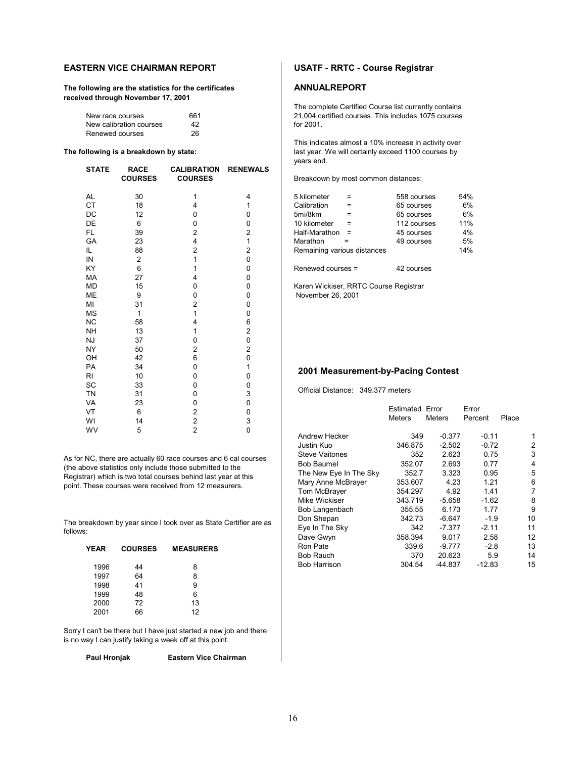#### **EASTERN VICE CHAIRMAN REPORT FIGURE 10 USATF - RRTC - Course Registrar**

The following are the statistics for the certificates **ANNUALREPORT received through November 17, 2001**

| New race courses        | 661 | 21,004 c  |
|-------------------------|-----|-----------|
| New calibration courses | 42  | for 2001. |
| Renewed courses         | 26  |           |

| <b>STATE</b> | <b>RACE</b><br><b>COURSES</b> | <b>CALIBRATION</b><br><b>COURSES</b> | <b>RENEWALS</b> | Breakdown by most common distances:   |                   |                                    |               |     |
|--------------|-------------------------------|--------------------------------------|-----------------|---------------------------------------|-------------------|------------------------------------|---------------|-----|
| AL           | 30                            |                                      | 4               | 5 kilometer                           | $=$               | 558 courses                        |               | 54% |
| <b>CT</b>    | 18                            | 4                                    |                 | Calibration                           | $=$               | 65 courses                         |               | 6%  |
| DC           | 12                            | 0                                    | 0               | 5mi/8km                               | $=$               | 65 courses                         |               | 6%  |
| DE           | 6                             | 0                                    | 0               | 10 kilometer                          | $=$               | 112 courses                        |               | 11% |
| FL.          | 39                            | 2                                    | 2               | Half-Marathon                         | $\qquad \qquad =$ | 45 courses                         |               | 4%  |
| GA           | 23                            | 4                                    |                 | Marathon                              | Ξ                 | 49 courses                         |               | 5%  |
| IL.          | 88                            | 2                                    | $\overline{2}$  | Remaining various distances           |                   |                                    |               | 14% |
| IN           | 2                             |                                      | 0               |                                       |                   |                                    |               |     |
| KY           | 6                             |                                      | 0               | Renewed courses =                     |                   | 42 courses                         |               |     |
| MA           | 27                            | 4                                    | 0               |                                       |                   |                                    |               |     |
| <b>MD</b>    | 15                            | 0                                    | 0               | Karen Wickiser, RRTC Course Registrar |                   |                                    |               |     |
| ME           | 9                             | 0                                    | 0               | November 26, 2001                     |                   |                                    |               |     |
| MI           | 31                            | 2                                    | 0               |                                       |                   |                                    |               |     |
| <b>MS</b>    |                               |                                      | 0               |                                       |                   |                                    |               |     |
| <b>NC</b>    | 58                            |                                      | 6               |                                       |                   |                                    |               |     |
| <b>NH</b>    | 13                            |                                      | $\overline{2}$  |                                       |                   |                                    |               |     |
| <b>NJ</b>    | 37                            | 0                                    | 0               |                                       |                   |                                    |               |     |
| NY           | 50                            | $\overline{c}$                       | $\overline{2}$  |                                       |                   |                                    |               |     |
| OH           | 42                            | 6                                    | 0               |                                       |                   |                                    |               |     |
| <b>PA</b>    | 34                            | 0                                    |                 |                                       |                   | 2001 Measurement-by-Pacing Contest |               |     |
| <b>RI</b>    | 10                            | 0                                    | 0               |                                       |                   |                                    |               |     |
| SC           | 33                            | 0                                    | 0               |                                       |                   |                                    |               |     |
| <b>TN</b>    | 31                            | 0                                    | 3               | Official Distance: 349.377 meters     |                   |                                    |               |     |
| <b>VA</b>    | 23                            | 0                                    | 0               |                                       |                   |                                    |               |     |
| VT           | 6                             | 2                                    | 0               |                                       |                   | <b>Estimated Error</b>             |               | Err |
| WI           | 14                            | $\overline{c}$                       | 3               |                                       |                   | <b>Meters</b>                      | <b>Meters</b> | Pe  |
| WV           | 5                             | $\overline{c}$                       | 0               |                                       |                   | $-1$                               |               |     |

As for NC, there are actually 60 race courses and 6 cal courses (the above statistics only include those submitted to the Registrar) which is two total courses behind last year at this point. These courses were received from 12 measurers.

The breakdown by year since I took over as State Certifier are as follows:

| <b>YEAR</b> | <b>COURSES</b> | <b>MEASURERS</b> |
|-------------|----------------|------------------|
| 1996        | 44             | 8                |
| 1997        | 64             | 8                |
| 1998        | 41             | 9                |
| 1999        | 48             | 6                |
| 2000        | 72             | 13               |
| 2001        | 66             | 12               |

Sorry I can't be there but I have just started a new job and there is no way I can justify taking a week off at this point.

**Paul Hronjak Eastern Vice Chairman**

The complete Certified Course list currently contains 21,004 certified courses. This includes 1075 courses<br>for 2001.

This indicates almost a 10% increase in activity over **The following is a breakdown by state: last year. We will certainly exceed 1100 courses by** years end.

| 5 kilometer                 | 558 courses | 54% |
|-----------------------------|-------------|-----|
| Calibration                 | 65 courses  | 6%  |
| 5mi/8km                     | 65 courses  | 6%  |
| 10 kilometer                | 112 courses | 11% |
| Half-Marathon               | 45 courses  | 4%  |
| Marathon                    | 49 courses  | 5%  |
| Remaining various distances |             | 14% |
|                             |             |     |

#### **2001 Measurement-by-Pacing Contest**

|                        | Estimated Error |               | Error    |       |
|------------------------|-----------------|---------------|----------|-------|
|                        | Meters          | <b>Meters</b> | Percent  | Place |
| Andrew Hecker          | 349             | $-0.377$      | $-0.11$  | 1     |
| Justin Kuo             | 346.875         | $-2.502$      | $-0.72$  | 2     |
| <b>Steve Vaitones</b>  | 352             | 2.623         | 0.75     | 3     |
| Bob Baumel             | 352.07          | 2.693         | 0.77     | 4     |
| The New Eye In The Sky | 352.7           | 3.323         | 0.95     | 5     |
| Mary Anne McBrayer     | 353.607         | 4.23          | 1.21     | 6     |
| Tom McBrayer           | 354.297         | 4.92          | 1.41     | 7     |
| Mike Wickiser          | 343.719         | $-5.658$      | $-1.62$  | 8     |
| Bob Langenbach         | 355.55          | 6.173         | 1.77     | 9     |
| Don Shepan             | 342.73          | $-6.647$      | $-1.9$   | 10    |
| Eye In The Sky         | 342             | $-7.377$      | $-2.11$  | 11    |
| Dave Gwyn              | 358.394         | 9.017         | 2.58     | 12    |
| Ron Pate               | 339.6           | $-9.777$      | $-2.8$   | 13    |
| <b>Bob Rauch</b>       | 370             | 20.623        | 5.9      | 14    |
| <b>Bob Harrison</b>    | 304.54          | -44.837       | $-12.83$ | 15    |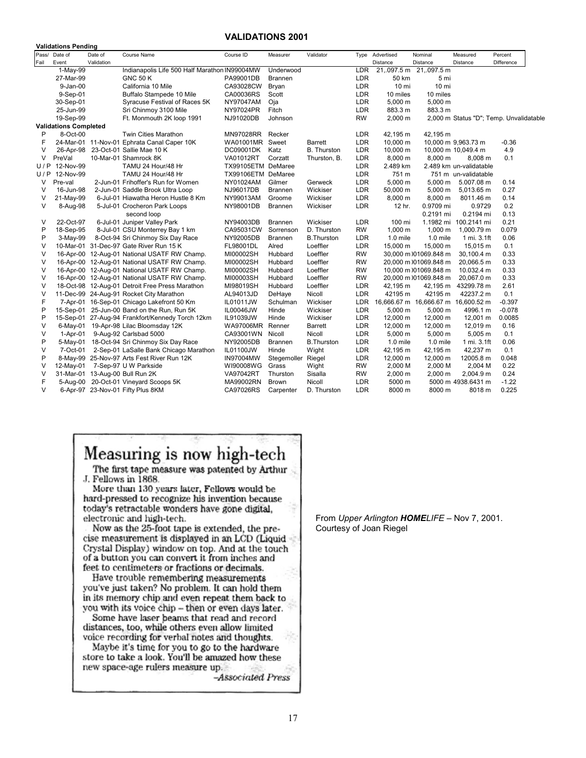#### **VALIDATIONS 2001**

**Validations Pending**

|        | valiuations reliulily        |            |                                                  |                    |                |                    |            |                 |                       |                                         |            |
|--------|------------------------------|------------|--------------------------------------------------|--------------------|----------------|--------------------|------------|-----------------|-----------------------|-----------------------------------------|------------|
| Pass/  | Date of                      | Date of    | Course Name                                      | Course ID          | Measurer       | Validator          |            | Type Advertised | Nominal               | Measured                                | Percent    |
| Fail   | Event                        | Validation |                                                  |                    |                |                    |            | <b>Distance</b> | Distance              | Distance                                | Difference |
|        | 1-May-99                     |            | Indianapolis Life 500 Half Marathon IN99004MW    |                    | Underwood      |                    | LDR        | 21,.097.5 m     | 21,.097.5 m           |                                         |            |
|        | 27-Mar-99                    |            | <b>GNC 50 K</b>                                  | PA99001DB          | <b>Brannen</b> |                    | LDR        | 50 km           | 5 mi                  |                                         |            |
|        | $9 - Jan-00$                 |            | California 10 Mile                               | CA93028CW          | Bryan          |                    | LDR        | 10 mi           | 10 mi                 |                                         |            |
|        | 9-Sep-01                     |            | Buffalo Stampede 10 Mile                         | CA00036RS          | Scott          |                    | LDR        | 10 miles        | 10 miles              |                                         |            |
|        | 30-Sep-01                    |            | Syracuse Festival of Races 5K                    | NY97047AM          | Oja            |                    | <b>LDR</b> | $5,000 \; m$    | 5,000 m               |                                         |            |
|        | 25-Jun-99                    |            | Sri Chinmoy 3100 Mile                            | NY97024PR          | Fitch          |                    | LDR        | 883.3 m         | 883.3 m               |                                         |            |
|        | 19-Sep-99                    |            | Ft. Monmouth 2K loop 1991                        | NJ91020DB          | Johnson        |                    | <b>RW</b>  | 2,000 m         |                       | 2,000 m Status "D"; Temp. Unvalidatable |            |
|        | <b>Validations Completed</b> |            |                                                  |                    |                |                    |            |                 |                       |                                         |            |
| P      | 8-Oct-00                     |            | <b>Twin Cities Marathon</b>                      | MN97028RR          | Recker         |                    | <b>LDR</b> | 42,195 m        | 42,195 m              |                                         |            |
| F      |                              |            | 24-Mar-01 11-Nov-01 Ephrata Canal Caper 10K      | WA01001MR Sweet    |                | <b>Barrett</b>     | LDR        | 10,000 m        |                       | 10,000 m 9,963.73 m                     | $-0.36$    |
| V      |                              |            | 26-Apr-98 23-Oct-01 Sallie Mae 10 K              | DC09001DK          | Katz           | <b>B.</b> Thurston | LDR        | 10,000 m        |                       | 10,000 m 10,049.4 m                     | 4.9        |
| V      | PreVal                       |            | 10-Mar-01 Shamrock 8K                            | VA01012RT          | Corzatt        | Thurston, B.       | <b>LDR</b> | 8,000 m         | 8,000 m               | 8,008 m                                 | 0.1        |
| U/P    | 12-Nov-99                    |            | TAMU 24 Hour/48 Hr                               | TX99105ETM DeMaree |                |                    | LDR        | 2.489 km        |                       | 2.489 km un-validatable                 |            |
| U/P    | 12-Nov-99                    |            | TAMU 24 Hour/48 Hr                               | TX99106ETM DeMaree |                |                    | LDR        | 751 m           |                       | 751 m un-validatable                    |            |
| V      | Pre-val                      |            | 2-Jun-01 Frihoffer's Run for Women               | NY01024AM          | Gilmer         | Gerweck            | LDR        | 5,000 m         | 5,000 m               | 5.007.08 m                              | 0.14       |
| V      | 16-Jun-98                    |            | 2-Jun-01 Saddle Brook Ultra Loop                 | NJ96017DB          | <b>Brannen</b> | Wickiser           | LDR        | 50,000 m        | 5,000 m               | 5,013.65 m                              | 0.27       |
| V      | 21-May-99                    |            | 6-Jul-01 Hiawatha Heron Hustle 8 Km              | NY99013AM          | Groome         | Wickiser           | LDR        | 8,000 m         | 8,000 m               | 8011.46 m                               | 0.14       |
| $\vee$ | 8-Aug-98                     |            | 5-Jul-01 Crocheron Park Loops                    | NY98001DB          | <b>Brannen</b> | Wickiser           | LDR        | 12 hr.          | 0.9709 mi             | 0.9729                                  | 0.2        |
|        |                              |            | second loop                                      |                    |                |                    |            |                 | 0.2191 mi             | 0.2194 mi                               | 0.13       |
| V      | 22-Oct-97                    |            | 6-Jul-01 Juniper Valley Park                     | NY94003DB          | Brannen        | Wickiser           | LDR        | 100 mi          |                       | 1.1982 mi 100.2141 mi                   | 0.21       |
| P      | 18-Sep-95                    |            | 8-Jul-01 CSU Monterrey Bay 1 km                  | CA95031CW          | Sorrenson      | D. Thurston        | <b>RW</b>  | $1,000 \; m$    | 1,000 m               | 1,000.79 m                              | 0.079      |
| P      | 3-May-99                     |            | 8-Oct-94 Sri Chinmoy Six Day Race                | NY92005DB          | Brannen        | <b>B.Thurston</b>  | LDR        | 1.0 mile        | $1.0$ mile            | 1 mi. 3.1ft                             | 0.06       |
| $\vee$ |                              |            | 10-Mar-01 31-Dec-97 Gate River Run 15 K          | FL98001DL          | Alred          | Loeffler           | LDR        | 15,000 m        | 15,000 m              | 15,015 m                                | 0.1        |
| V      |                              |            | 16-Apr-00 12-Aug-01 National USATF RW Champ.     | MI00002SH          | Hubbard        | Loeffler           | <b>RW</b>  |                 | 30.000 m 01069.848 m  | 30,100.4 m                              | 0.33       |
| V      |                              |            | 16-Apr-00 12-Aug-01 National USATF RW Champ.     | MI00002SH          | Hubbard        | Loeffler           | <b>RW</b>  |                 | 20,000 m )01069.848 m | 20,066.5 m                              | 0.33       |
| $\vee$ |                              |            | 16-Apr-00 12-Aug-01 National USATF RW Champ.     | MI00002SH          | Hubbard        | Loeffler           | <b>RW</b>  |                 | 10,000 m )01069.848 m | 10.032.4 m                              | 0.33       |
| $\vee$ |                              |            | 16-Apr-00 12-Aug-01 National USATF RW Champ.     | MI00003SH          | Hubbard        | Loeffler           | <b>RW</b>  |                 | 20,000 m )01069.848 m | 20,067.0 m                              | 0.33       |
| $\vee$ |                              |            | 18-Oct-98 12-Aug-01 Detroit Free Press Marathon  | MI98019SH          | Hubbard        | Loeffler           | LDR        | 42,195 m        | 42,195 m              | 43299.78 m                              | 2.61       |
| V      |                              |            | 11-Dec-99 24-Aug-91 Rocket City Marathon         | AL94013JD          | DeHaye         | Nicoll             | LDR        | 42195 m         | 42195 m               | 42237.2 m                               | 0.1        |
| F      |                              |            | 7-Apr-01 16-Sep-01 Chicago Lakefront 50 Km       | IL01011JW          | Schulman       | Wickiser           | <b>LDR</b> |                 |                       | 16,666.67 m 16,666.67 m 16,600.52 m     | $-0.397$   |
| P      |                              |            | 15-Sep-01 25-Jun-00 Band on the Run, Run 5K      | <b>IL00046JW</b>   | Hinde          | Wickiser           | <b>LDR</b> | 5,000 m         | 5,000 m               | 4996.1 m                                | $-0.078$   |
| P      |                              |            | 15-Sep-01 27-Aug-94 Frankfort/Kennedy Torch 12km | IL91039JW          | Hinde          | Wickiser           | LDR        | 12,000 m        | 12,000 m              | 12,001 m                                | 0.0085     |
| V      |                              |            | 6-May-01 19-Apr-98 Lilac Bloomsday 12K           | WA97006MR Renner   |                | <b>Barrett</b>     | LDR        | 12,000 m        | 12,000 m              | 12,019 m                                | 0.16       |
| $\vee$ | $1-Apr-01$                   |            | 9-Aug-92 Carlsbad 5000                           | CA93001WN          | Nicoll         | Nicoll             | LDR        | 5,000 m         | 5,000 m               | 5,005 m                                 | 0.1        |
| P      |                              |            | 5-May-01 18-Oct-94 Sri Chinmoy Six Day Race      | NY92005DB          | <b>Brannen</b> | <b>B.Thurston</b>  | LDR        | $1.0$ mile      | $1.0$ mile            | 1 mi. 3.1ft                             | 0.06       |
| $\vee$ | 7-Oct-01                     |            | 2-Sep-01 LaSalle Bank Chicago Marathon           | IL01100JW          | Hinde          | Wight              | LDR        | 42,195 m        | 42,195 m              | 42,237 m                                | 0.1        |
| P      |                              |            | 8-May-99 25-Nov-97 Arts Fest River Run 12K       | <b>IN97004MW</b>   | Stegemoller    | Riegel             | LDR        | 12,000 m        | 12,000 m              | 12005.8 m                               | 0.048      |
| V      | 12-May-01                    |            | 7-Sep-97 U W Parkside                            | WI90008WG          | Grass          | Wight              | <b>RW</b>  | 2,000 M         | 2,000 M               | 2,004 M                                 | 0.22       |
| $\vee$ |                              |            |                                                  |                    |                |                    | <b>RW</b>  |                 |                       |                                         |            |
|        |                              |            | 31-Mar-01 13-Aug-00 Bull Run 2K                  | <b>VA97042RT</b>   | Thurston       | Sisalla            |            | 2,000 m         | 2,000 m               | 2,004.9 m                               | 0.24       |
| F      |                              |            | 5-Aug-00 20-Oct-01 Vineyard Scoops 5K            | MA99002RN          | <b>Brown</b>   | Nicoll             | LDR        | 5000 m          |                       | 5000 m 4938.6431 m                      | $-1.22$    |
| $\vee$ |                              |            | 6-Apr-97 23-Nov-01 Fifty Plus 8KM                | CA97026RS          | Carpenter      | D. Thurston        | <b>LDR</b> | 8000 m          | 8000 m                | 8018 m                                  | 0.225      |

## Measuring is now high-tech

The first tape measure was patented by Arthur J. Fellows in 1868.

More than 130 years later, Fellows would be hard-pressed to recognize his invention because today's retractable wonders have gone digital, electronic and high-tech.

Now as the 25-foot tape is extended, the precise measurement is displayed in an LCD (Liquid = Crystal Display) window on top. And at the touch of a button you can convert it from inches and feet to centimeters or fractions or decimals.

Have trouble remembering measurements you've just taken? No problem. It can hold them in its memory chip and even repeat them back to you with its voice chip - then or even days later.

Some have laser beams that read and record distances, too, while others even allow limited voice recording for verbal notes and thoughts.

Maybe it's time for you to go to the hardware store to take a look. You'll be amazed how these new space-age rulers measure up.

-Associated Press

From *Upper Arlington HOMELIFE* – Nov 7, 2001. Courtesy of Joan Riegel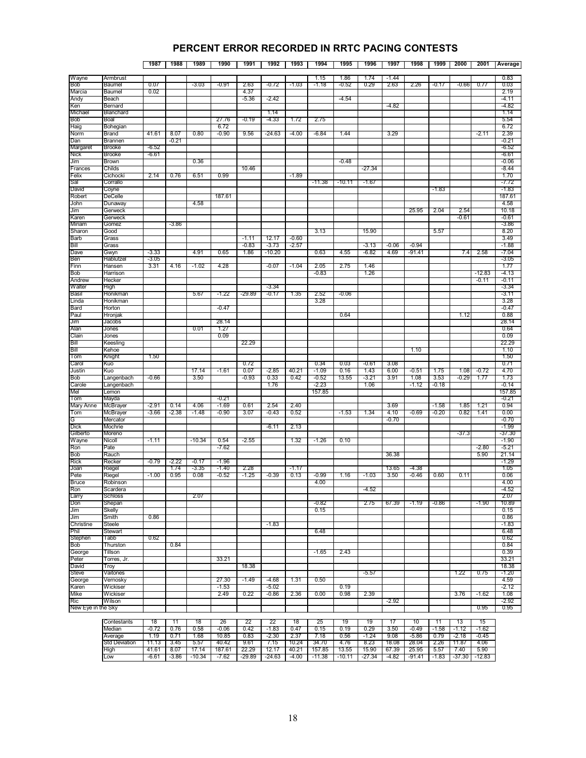#### **PERCENT ERROR RECORDED IN RRTC PACING CONTESTS**

#### **1987 1988 1989 1990 1991 1992 1993 1994 1995 1996 1997 1998 1999 2000 2001 Average**

| Wayne              | Armbrust       |         |         |          |         |          |          |         | 1.15     | 1.86     | 1.74    | $-1.44$ |         |         |         |         | 0.83    |
|--------------------|----------------|---------|---------|----------|---------|----------|----------|---------|----------|----------|---------|---------|---------|---------|---------|---------|---------|
| Bob                | Baumel         | 0.07    |         | $-3.03$  | $-0.91$ | 2.63     | $-0.72$  | $-1.03$ | $-1.18$  | $-0.52$  | 0.29    | 2.63    | 2.26    | $-0.17$ | $-0.66$ | 0.77    | 0.03    |
| Marcia             | Baumel         | 0.02    |         |          |         | 4.37     |          |         |          |          |         |         |         |         |         |         | 2.19    |
| Andy               | Beach          |         |         |          |         | $-5.36$  | $-2.42$  |         |          | $-4.54$  |         |         |         |         |         |         | $-4.11$ |
| Ken                | Bernard        |         |         |          |         |          |          |         |          |          |         | -4.82   |         |         |         |         | -4.82   |
| Michael            | Blanchard      |         |         |          |         |          | 1.14     |         |          |          |         |         |         |         |         |         | 1.14    |
|                    |                |         |         |          |         | $-0.19$  | $-4.33$  |         |          |          |         |         |         |         |         |         |         |
| Bob                | Boal           |         |         |          | 27.76   |          |          | 1.72    | 2.75     |          |         |         |         |         |         |         | 5.54    |
| Haig               | Bohegian       |         |         |          | 6.72    |          |          |         |          |          |         |         |         |         |         |         | 6.72    |
| Norm               | <b>Brand</b>   | 41.61   | 8.07    | 0.80     | $-0.90$ | 9.56     | $-24.63$ | $-4.00$ | $-6.84$  | 1.44     |         | 3.29    |         |         |         | $-2.11$ | 2.39    |
| Dan                | <b>Brannen</b> |         | -0.21   |          |         |          |          |         |          |          |         |         |         |         |         |         | -0.21   |
| Margaret           | <b>Brooke</b>  | $-6.52$ |         |          |         |          |          |         |          |          |         |         |         |         |         |         | $-6.52$ |
| Nick               | <b>Brooke</b>  | $-6.61$ |         |          |         |          |          |         |          |          |         |         |         |         |         |         | -6.61   |
|                    |                |         |         | 0.36     |         |          |          |         |          | $-0.48$  |         |         |         |         |         |         | $-0.06$ |
| Jim                | Brown          |         |         |          |         |          |          |         |          |          |         |         |         |         |         |         |         |
| Frances            | Childs         |         |         |          |         | 10.46    |          |         |          |          | -27.34  |         |         |         |         |         | $-8.44$ |
| Felix              | Cichocki       | 2.14    | 0.76    | 6.51     | 0.99    |          |          | $-1.89$ |          |          |         |         |         |         |         |         | 1.70    |
| Sal                | Corrallo       |         |         |          |         |          |          |         | $-11.38$ | $-10.11$ | $-1.67$ |         |         |         |         |         | $-7.72$ |
| David              | Coyne          |         |         |          |         |          |          |         |          |          |         |         |         | -1.83   |         |         | $-1.83$ |
| Robert             | DeCelle        |         |         |          | 187.61  |          |          |         |          |          |         |         |         |         |         |         | 187.61  |
| John               | Dunaway        |         |         | 4.58     |         |          |          |         |          |          |         |         |         |         |         |         | 4.58    |
|                    |                |         |         |          |         |          |          |         |          |          |         |         |         |         |         |         |         |
| Jim                | Gerweck        |         |         |          |         |          |          |         |          |          |         |         | 25.95   | 2.04    | 2.54    |         | 10.18   |
| Karen              | Gerweck        |         |         |          |         |          |          |         |          |          |         |         |         |         | $-0.61$ |         | $-0.61$ |
| Miriam             | Gomez          |         | -3.86   |          |         |          |          |         |          |          |         |         |         |         |         |         | -3.86   |
| Sharon             | Good           |         |         |          |         |          |          |         | 3.13     |          | 15.90   |         |         | 5.57    |         |         | 8.20    |
| Barb               | Grass          |         |         |          |         | $-1.11$  | 12.17    | $-0.60$ |          |          |         |         |         |         |         |         | 3.49    |
| Bill               | Grass          |         |         |          |         | $-0.83$  | $-3.73$  | $-2.57$ |          |          | $-3.13$ | $-0.06$ | $-0.94$ |         |         |         | $-1.88$ |
| Dave               | Gwyn           | $-3.33$ |         | 4.91     | 0.65    | 1.86     | $-10.20$ |         | 0.63     | 4.55     | -6.82   | 4.69    | -91.41  |         | 7.4     | 2.58    | -7.04   |
|                    |                |         |         |          |         |          |          |         |          |          |         |         |         |         |         |         |         |
| Ben                | Hablutzel      | $-3.05$ |         |          |         |          |          |         |          |          |         |         |         |         |         |         | $-3.05$ |
| Finn               | Hansen         | 3.31    | 4.16    | $-1.02$  | 4.28    |          | $-0.07$  | $-1.04$ | 2.05     | 2.75     | 1.46    |         |         |         |         |         | 1.77    |
| Bob                | Harrison       |         |         |          |         |          |          |         | $-0.83$  |          | 1.26    |         |         |         |         | -12.83  | -4.13   |
| Andrew             | Hecker         |         |         |          |         |          |          |         |          |          |         |         |         |         |         | $-0.11$ | $-0.11$ |
| Walter             | High           |         |         |          |         |          | $-3.34$  |         |          |          |         |         |         |         |         |         | -3.34   |
| Basil              | Honikman       |         |         | 5.67     | $-1.22$ | $-29.89$ | $-0.17$  | 1.35    | 2.52     | $-0.06$  |         |         |         |         |         |         | $-3.11$ |
|                    |                |         |         |          |         |          |          |         |          |          |         |         |         |         |         |         |         |
| Linda              | Honikman       |         |         |          |         |          |          |         | 3.28     |          |         |         |         |         |         |         | 3.28    |
| Bard               | Horton         |         |         |          | $-0.47$ |          |          |         |          |          |         |         |         |         |         |         | $-0.47$ |
| Paul               | Hronjak        |         |         |          |         |          |          |         |          | 0.64     |         |         |         |         | 1.12    |         | 0.88    |
| Jim                | Jacobs         |         |         |          | 28.14   |          |          |         |          |          |         |         |         |         |         |         | 28.14   |
| Alan               | Jones          |         |         | 0.01     | 1.27    |          |          |         |          |          |         |         |         |         |         |         | 0.64    |
| Clain              | Jones          |         |         |          | 0.09    |          |          |         |          |          |         |         |         |         |         |         | 0.09    |
|                    |                |         |         |          |         |          |          |         |          |          |         |         |         |         |         |         |         |
| Bill               | Keesling       |         |         |          |         | 22.29    |          |         |          |          |         |         |         |         |         |         | 22.29   |
| Bill               | Kehoe          |         |         |          |         |          |          |         |          |          |         |         | 1.10    |         |         |         | 1.10    |
| Tom                | Knight         | 1.50    |         |          |         |          |          |         |          |          |         |         |         |         |         |         | 1.50    |
| Carol              | Kuo            |         |         |          |         | 0.72     |          |         | 0.34     | 0.03     | $-0.61$ | 3.08    |         |         |         |         | 0.71    |
| Justin             | Kuo            |         |         | 17.14    | $-1.61$ | 0.07     | -2.85    | 40.21   | -1.09    | 0.16     | 1.43    | 6.00    | $-0.51$ | 1.75    | 1.08    | -0.72   | 4.70    |
| Bob                | _angenbach     | $-0.66$ |         | 3.50     |         | $-0.93$  | 0.33     | 0.42    | -0.52    | 13.55    | -3.21   | 3.91    | 1.08    | 3.53    | $-0.29$ | 1.77    | 1.73    |
|                    |                |         |         |          |         |          |          |         |          |          |         |         |         |         |         |         | $-0.14$ |
| Carole             | Langenbach     |         |         |          |         |          | 1.76     |         | -2.23    |          | 1.06    |         | $-1.12$ | -0.18   |         |         |         |
| Mel                | Lemon          |         |         |          |         |          |          |         | 157.85   |          |         |         |         |         |         |         | 157.85  |
| Tom                | Mayda          |         |         |          | $-0.21$ |          |          |         |          |          |         |         |         |         |         |         | $-0.21$ |
|                    |                |         |         |          |         |          | 2.54     | 2.40    |          |          |         | 3.69    |         | $-1.58$ |         |         |         |
| Mary Anne          |                | $-2.91$ | 0.14    | 4.06     | $-1.69$ | 0.61     |          |         |          |          |         |         |         |         | 1.85    | 1.21    | 0.94    |
|                    | McBrayer       |         |         |          |         |          |          |         |          |          |         |         |         |         |         |         |         |
| Tom                | McBrayer       | $-3.66$ | -2.38   | $-1.48$  | $-0.90$ | 3.07     | $-0.43$  | 0.52    |          | $-1.53$  | 1.34    | 4.10    | $-0.69$ | $-0.20$ | 0.82    | 1.41    | 0.00    |
| G                  | Mercator       |         |         |          |         |          |          |         |          |          |         | $-0.70$ |         |         |         |         | $-0.70$ |
| Dick               | Mochrie        |         |         |          |         |          | -6.11    | 2.13    |          |          |         |         |         |         |         |         | $-1.99$ |
| Gilberto           | Moreno         |         |         |          |         |          |          |         |          |          |         |         |         |         | -37.3   |         | -37.30  |
| Wayne              | Nicoll         | $-1.11$ |         | $-10.34$ | 0.54    | $-2.55$  |          | 1.32    | $-1.26$  | 0.10     |         |         |         |         |         |         | $-1.90$ |
| Ron                | Pate           |         |         |          | -7.62   |          |          |         |          |          |         |         |         |         |         | $-2.80$ | -5.21   |
| Bob                | Rauch          |         |         |          |         |          |          |         |          |          |         | 36.38   |         |         |         | 5.90    | 21.14   |
|                    |                | $-0.79$ |         | -0.17    | $-1.96$ |          |          |         |          |          |         |         |         |         |         |         | $-1.29$ |
| Rick               | Recker         |         | $-2.22$ |          |         |          |          |         |          |          |         |         |         |         |         |         |         |
| Joan               | Riegel         |         | 1.74    | $-3.35$  | $-1.40$ | 2.28     |          | $-1.17$ |          |          |         | 13.65   | $-4.38$ |         |         |         | 1.05    |
| Pete               | Riegel         | $-1.00$ | 0.95    | 0.08     | -0.52   | $-1.25$  | $-0.39$  | 0.13    | -0.99    | 1.16     | $-1.03$ | 3.50    | -0.46   | 0.60    | 0.11    |         | 0.06    |
| Bruce              | Robinson       |         |         |          |         |          |          |         | 4.00     |          |         |         |         |         |         |         | 4.00    |
| Ron                | Scardera       |         |         |          |         |          |          |         |          |          | $-4.52$ |         |         |         |         |         | $-4.52$ |
| Larry              | Schloss        |         |         | 2.07     |         |          |          |         |          |          |         |         |         |         |         |         | 2.07    |
|                    |                |         |         |          |         |          |          |         |          |          |         |         |         |         |         |         |         |
| Don                | Shepan         |         |         |          |         |          |          |         | $-0.82$  |          | 2.75    | 67.39   | $-1.19$ | $-0.86$ |         | $-1.90$ | 10.89   |
| Jim                | Skelly         |         |         |          |         |          |          |         | 0.15     |          |         |         |         |         |         |         | 0.15    |
| Jim                | Smith          | 0.86    |         |          |         |          |          |         |          |          |         |         |         |         |         |         | 0.86    |
| Christine          | Steele         |         |         |          |         |          | $-1.83$  |         |          |          |         |         |         |         |         |         | $-1.83$ |
| Phil               | Stewart        |         |         |          |         |          |          |         | 6.48     |          |         |         |         |         |         |         | 6.48    |
| Stephen            | Tabb           | 0.62    |         |          |         |          |          |         |          |          |         |         |         |         |         |         | 0.62    |
| Bob                | Thurston       |         | 0.84    |          |         |          |          |         |          |          |         |         |         |         |         |         | 0.84    |
|                    |                |         |         |          |         |          |          |         |          |          |         |         |         |         |         |         |         |
| George             | Tillson        |         |         |          |         |          |          |         | $-1.65$  | 2.43     |         |         |         |         |         |         | 0.39    |
| Peter              | Torres, Jr.    |         |         |          | 33.21   |          |          |         |          |          |         |         |         |         |         |         | 33.21   |
| David              | Troy           |         |         |          |         | 18.38    |          |         |          |          |         |         |         |         |         |         | 18.38   |
| Steve              | Vaitones       |         |         |          |         |          |          |         |          |          | $-5.57$ |         |         |         | 1.22    | 0.75    | $-1.20$ |
| George             | Vernosky       |         |         |          | 27.30   | $-1.49$  | $-4.68$  | 1.31    | 0.50     |          |         |         |         |         |         |         | 4.59    |
| Karen              | Wickiser       |         |         |          | $-1.53$ |          | $-5.02$  |         |          | 0.19     |         |         |         |         |         |         | $-2.12$ |
| Mike               | Wickiser       |         |         |          | 2.49    | 0.22     | $-0.86$  | 2.36    | 0.00     | 0.98     | 2.39    |         |         |         | 3.76    | -1.62   | 1.08    |
|                    |                |         |         |          |         |          |          |         |          |          |         |         |         |         |         |         |         |
| Ric                | Wilson         |         |         |          |         |          |          |         |          |          |         | $-2.92$ |         |         |         |         | $-2.92$ |
| New Eye in the Sky |                |         |         |          |         |          |          |         |          |          |         |         |         |         |         | 0.95    | 0.95    |

| Contestants          | ۰٥            |         | 10     | 20      | ∠∠     | ~~<br>ے | lo         | دے           | 19    |                                 |         | ιv              |      | ιv     | 51       |
|----------------------|---------------|---------|--------|---------|--------|---------|------------|--------------|-------|---------------------------------|---------|-----------------|------|--------|----------|
| Median               | 72            | 0.76    | 0.58   | $-0.06$ | 0.42   | 1.83    | 0.4        | ບ. ເບ        | 0.19  | 0.29                            | 3.50    | 0.49            | 1.58 | 1.12   | 1.62     |
| Average              | . . 19        | υ.,     | .68    | 0.85    | 0.83   | $-2.30$ | 2.37       | '.18         | 0.56  | .24                             | 9.08    | $-5.86$         | 0.79 | 2.18   | $-0.45$  |
| <b>Std Deviation</b> |               | 3.45    | 5.5.   | 40.42   | 9.61   |         | IV.24      | 34           | 4.76  | 8.Z3                            | 8.08    | 28.04           | 2.ZO | .87    | 4.06     |
| High                 | $+1.61$<br>41 | 8.07    | .14    | 187.61  | 22.29  | 14. LI  | 40.4       | 157.85       | 13.55 | 15.90                           | 67.39   | 25.<br>25.95    | 5.57 | 40.    | 5.90     |
| Low                  | -6.6          | $-3.86$ | -10.34 | 7.62    | -29.89 | -24.63  | 4.00<br>-4 | 11.38<br>- 1 | -10.  | .34<br>$\overline{\phantom{a}}$ | $-4.82$ | $-91.4^{\circ}$ | 1.83 | -37.30 | $-12.83$ |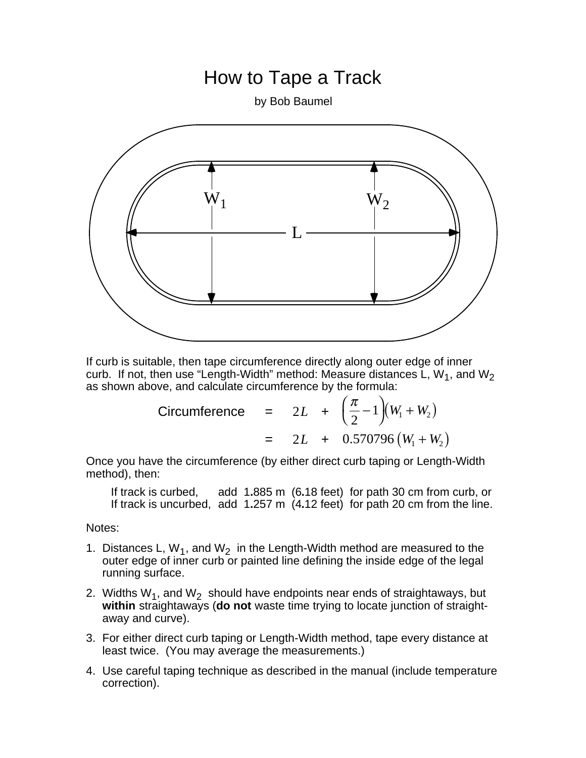## How to Tape a Track

by Bob Baumel



If curb is suitable, then tape circumference directly along outer edge of inner curb. If not, then use "Length-Width" method: Measure distances L,  $W_1$ , and  $W_2$ as shown above, and calculate circumference by the formula:

Circumference = 
$$
2L + (\frac{\pi}{2} - 1)(W_1 + W_2)
$$
  
=  $2L + 0.570796(W_1 + W_2)$ 

Once you have the circumference (by either direct curb taping or Length-Width method), then:

If track is curbed, add 1**.**885 m (6**.**18 feet) for path 30 cm from curb, or If track is uncurbed, add 1**.**257 m (4**.**12 feet) for path 20 cm from the line.

Notes:

- 1. Distances L,  $W_1$ , and  $W_2$  in the Length-Width method are measured to the outer edge of inner curb or painted line defining the inside edge of the legal running surface.
- 2. Widths  $W_1$ , and  $W_2$  should have endpoints near ends of straightaways, but **within** straightaways (**do not** waste time trying to locate junction of straightaway and curve).
- 3. For either direct curb taping or Length-Width method, tape every distance at least twice. (You may average the measurements.)
- 4. Use careful taping technique as described in the manual (include temperature correction).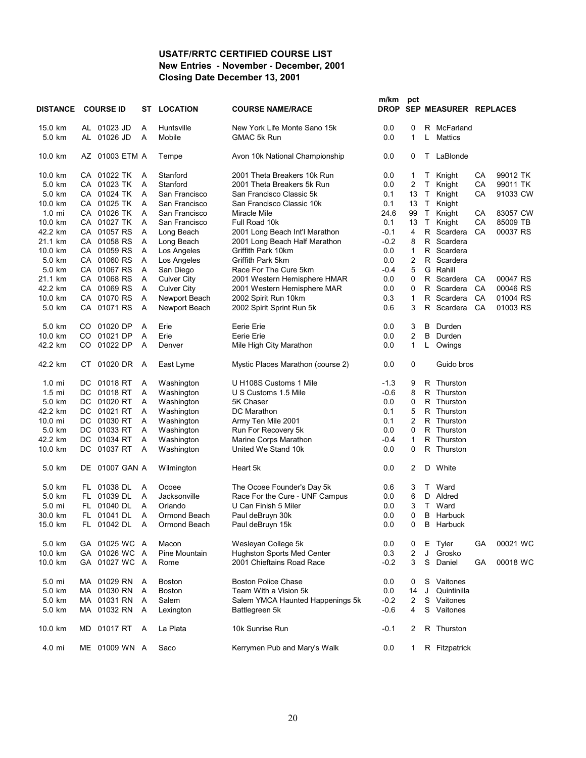#### **USATF/RRTC CERTIFIED COURSE LIST New Entries - November - December, 2001 Closing Date December 13, 2001**

| <b>DISTANCE</b>  |     | <b>COURSE ID</b> | ST | <b>LOCATION</b>    | <b>COURSE NAME/RACE</b>           | m/km<br>DROP | pct                     |             | SEP MEASURER REPLACES |    |          |
|------------------|-----|------------------|----|--------------------|-----------------------------------|--------------|-------------------------|-------------|-----------------------|----|----------|
| 15.0 km          |     | AL 01023 JD      | Α  | Huntsville         | New York Life Monte Sano 15k      | 0.0          | 0                       |             | R McFarland           |    |          |
| 5.0 km           |     | AL 01026 JD      | Α  | Mobile             | GMAC 5k Run                       | 0.0          | 1                       | L           | Mattics               |    |          |
| 10.0 km          |     | AZ 01003 ETM A   |    | Tempe              | Avon 10k National Championship    | 0.0          | 0                       | T.          | LaBlonde              |    |          |
| 10.0 km          |     | CA 01022 TK      | Α  | Stanford           | 2001 Theta Breakers 10k Run       | 0.0          | 1                       | T.          | Knight                | CA | 99012 TK |
| 5.0 km           |     | CA 01023 TK      | A  | Stanford           | 2001 Theta Breakers 5k Run        | 0.0          | $\overline{c}$          | T.          | Knight                | СA | 99011 TK |
| 5.0 km           |     | CA 01024 TK      | Α  | San Francisco      | San Francisco Classic 5k          | 0.1          | 13                      | $\top$      | Knight                | СA | 91033 CW |
| 10.0 km          |     | CA 01025 TK      | A  | San Francisco      | San Francisco Classic 10k         | 0.1          | 13                      | T.          | Knight                |    |          |
| $1.0 \text{ mi}$ |     | CA 01026 TK      | Α  | San Francisco      | Miracle Mile                      | 24.6         | 99                      | $\mathsf T$ | Knight                | CA | 83057 CW |
| 10.0 km          |     | CA 01027 TK      | Α  | San Francisco      | Full Road 10k                     | 0.1          | 13                      | $\top$      | Knight                | СA | 85009 TB |
| 42.2 km          |     | CA 01057 RS      | Α  | Long Beach         | 2001 Long Beach Int'l Marathon    | $-0.1$       | 4                       |             | R Scardera            | CA | 00037 RS |
| 21.1 km          |     | CA 01058 RS      | Α  | Long Beach         | 2001 Long Beach Half Marathon     | $-0.2$       | 8                       | R           | Scardera              |    |          |
| 10.0 km          |     | CA 01059 RS      | Α  | Los Angeles        | Griffith Park 10km                | 0.0          | $\mathbf{1}$            | R           | Scardera              |    |          |
| 5.0 km           |     | CA 01060 RS      | Α  | Los Angeles        | Griffith Park 5km                 | 0.0          | $\overline{2}$          |             | R Scardera            |    |          |
| 5.0 km           |     | CA 01067 RS      | Α  | San Diego          | Race For The Cure 5km             | $-0.4$       | 5                       | G           | Rahill                |    |          |
| 21.1 km          |     | CA 01068 RS      | Α  | <b>Culver City</b> | 2001 Western Hemisphere HMAR      | 0.0          | 0                       |             | R Scardera            | CA | 00047 RS |
| 42.2 km          |     | CA 01069 RS      | Α  | <b>Culver City</b> | 2001 Western Hemisphere MAR       | 0.0          | $\mathbf 0$             |             | R Scardera            | CA | 00046 RS |
| 10.0 km          |     | CA 01070 RS      | Α  | Newport Beach      | 2002 Spirit Run 10km              | 0.3          | 1                       | R           | Scardera              | CA | 01004 RS |
|                  |     |                  |    |                    |                                   |              | 3                       |             |                       |    |          |
| 5.0 km           |     | CA 01071 RS      | A  | Newport Beach      | 2002 Spirit Sprint Run 5k         | 0.6          |                         | R           | Scardera              | CA | 01003 RS |
| 5.0 km           |     | CO 01020 DP      | Α  | Erie               | Eerie Erie                        | 0.0          | 3                       | в           | Durden                |    |          |
| 10.0 km          | CO  | 01021 DP         | Α  | Erie               | Eerie Erie                        | 0.0          | 2                       | В           | Durden                |    |          |
| 42.2 km          | CO. | 01022 DP         | Α  | Denver             | Mile High City Marathon           | 0.0          | 1                       | L           | Owings                |    |          |
| 42.2 km          | CT. | 01020 DR         | A  | East Lyme          | Mystic Places Marathon (course 2) | 0.0          | 0                       |             | Guido bros            |    |          |
| $1.0 \text{ mi}$ |     | DC 01018 RT      | A  | Washington         | U H108S Customs 1 Mile            | $-1.3$       | 9                       | R           | Thurston              |    |          |
| $1.5$ mi         |     | DC 01018 RT      | Α  | Washington         | U S Customs 1.5 Mile              | $-0.6$       | 8                       |             | R Thurston            |    |          |
| 5.0 km           |     | DC 01020 RT      | Α  | Washington         | 5K Chaser                         | 0.0          | 0                       |             | R Thurston            |    |          |
| 42.2 km          |     | DC 01021 RT      | Α  | Washington         | DC Marathon                       | 0.1          | 5                       | R           | Thurston              |    |          |
| 10.0 mi          |     | DC 01030 RT      | Α  | Washington         | Army Ten Mile 2001                | 0.1          | 2                       |             | R Thurston            |    |          |
| 5.0 km           |     | DC 01033 RT      | Α  | Washington         | Run For Recovery 5k               | 0.0          | 0                       |             | R Thurston            |    |          |
| 42.2 km          |     | DC 01034 RT      | Α  | Washington         | Marine Corps Marathon             | $-0.4$       | 1                       | R.          | Thurston              |    |          |
| 10.0 km          |     | DC 01037 RT      | Α  | Washington         | United We Stand 10k               | 0.0          | 0                       |             | R Thurston            |    |          |
| 5.0 km           | DE  | 01007 GAN A      |    | Wilmington         | Heart 5k                          | 0.0          | 2                       | D           | White                 |    |          |
| 5.0 km           |     | FL 01038 DL      | Α  | Ocoee              | The Ocoee Founder's Day 5k        | 0.6          | 3                       | T.          | Ward                  |    |          |
| 5.0 km           | FL. | 01039 DL         | Α  | Jacksonville       | Race For the Cure - UNF Campus    | 0.0          | 6                       | D           | Aldred                |    |          |
| 5.0 mi           | FL. | 01040 DL         | Α  | Orlando            | U Can Finish 5 Miler              | 0.0          | 3                       | T.          | Ward                  |    |          |
| 30.0 km          |     | FL 01041 DL      | A  | Ormond Beach       | Paul deBruyn 30k                  | 0.0          | 0                       |             | <b>B</b> Harbuck      |    |          |
| 15.0 km          |     | FL 01042 DL      | A  | Ormond Beach       | Paul deBruyn 15k                  | 0.0          | 0                       |             | <b>B</b> Harbuck      |    |          |
| 5.0 km           |     | GA 01025 WC A    |    | Macon              | Wesleyan College 5k               | 0.0          | 0                       | Е           | Tyler                 | GА | 00021 WC |
| 10.0 km          |     | GA 01026 WC A    |    | Pine Mountain      | <b>Hughston Sports Med Center</b> | 0.3          | $\overline{\mathbf{c}}$ | J           | Grosko                |    |          |
| 10.0 km          |     | GA 01027 WC A    |    | Rome               | 2001 Chieftains Road Race         | $-0.2$       | 3                       | S           | Daniel                | GA | 00018 WC |
|                  |     |                  |    |                    |                                   |              |                         |             |                       |    |          |
| 5.0 mi           |     | MA 01029 RN      | A  | <b>Boston</b>      | <b>Boston Police Chase</b>        | 0.0          | 0                       | S           | Vaitones              |    |          |
| 5.0 km           |     | MA 01030 RN      | Α  | <b>Boston</b>      | Team With a Vision 5k             | 0.0          | 14                      | J           | Quintinilla           |    |          |
| 5.0 km           |     | MA 01031 RN      | Α  | Salem              | Salem YMCA Haunted Happenings 5k  | $-0.2$       | 2                       | S           | Vaitones              |    |          |
| 5.0 km           |     | MA 01032 RN      | A  | Lexington          | Battlegreen 5k                    | $-0.6$       | 4                       |             | S Vaitones            |    |          |
| 10.0 km          | MD  | 01017 RT         | A  | La Plata           | 10k Sunrise Run                   | $-0.1$       | 2                       |             | R Thurston            |    |          |
| 4.0 mi           |     | ME 01009 WN A    |    | Saco               | Kerrymen Pub and Mary's Walk      | 0.0          | 1                       |             | R Fitzpatrick         |    |          |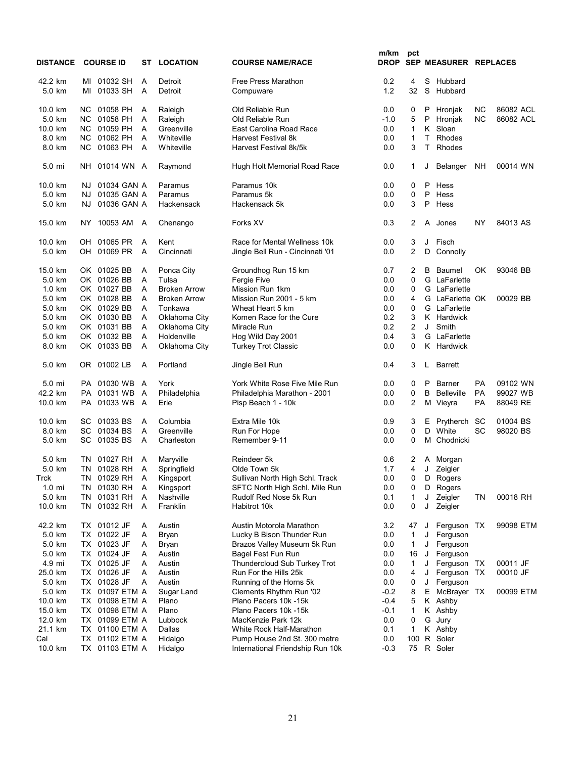| <b>DISTANCE</b>  |           | <b>COURSE ID</b> |   | <b>ST LOCATION</b>  | <b>COURSE NAME/RACE</b>          | m/km<br><b>DROP</b> | pct          |    | SEP MEASURER REPLACES |           |           |  |
|------------------|-----------|------------------|---|---------------------|----------------------------------|---------------------|--------------|----|-----------------------|-----------|-----------|--|
| 42.2 km          |           | MI 01032 SH      | Α | Detroit             | <b>Free Press Marathon</b>       | 0.2                 | 4            | S  | Hubbard               |           |           |  |
| 5.0 km           | MI        | 01033 SH         | A | Detroit             | Compuware                        | 1.2                 | 32           | S  | Hubbard               |           |           |  |
| 10.0 km          | NC.       | 01058 PH         | A | Raleigh             | Old Reliable Run                 | 0.0                 | 0            | P  | Hronjak               | NС        | 86082 ACL |  |
| 5.0 km           |           | NC 01058 PH      | Α | Raleigh             | Old Reliable Run                 | $-1.0$              | 5            | P  | Hronjak               | ΝC        | 86082 ACL |  |
| 10.0 km          |           | NC 01059 PH      | A | Greenville          | East Carolina Road Race          | 0.0                 | $\mathbf{1}$ | K  | Sloan                 |           |           |  |
| 8.0 km           | NC.       | 01062 PH         | A | Whiteville          | <b>Harvest Festival 8k</b>       | 0.0                 | $\mathbf{1}$ | Τ  | Rhodes                |           |           |  |
| 8.0 km           | NC.       | 01063 PH         | A | Whiteville          | Harvest Festival 8k/5k           | 0.0                 | 3            | т  | Rhodes                |           |           |  |
| 5.0 mi           | NH        | 01014 WN A       |   | Raymond             | Hugh Holt Memorial Road Race     | 0.0                 | 1            | J  | Belanger              | NΗ        | 00014 WN  |  |
| 10.0 km          | NJ        | 01034 GAN A      |   | Paramus             | Paramus 10k                      | 0.0                 | 0            | P  | Hess                  |           |           |  |
| 5.0 km           | NJ.       | 01035 GAN A      |   | Paramus             | Paramus 5k                       | 0.0                 | 0            | P  | Hess                  |           |           |  |
| 5.0 km           | NJ.       | 01036 GAN A      |   | Hackensack          | Hackensack 5k                    | 0.0                 | 3            | P  | Hess                  |           |           |  |
| 15.0 km          | NY        | 10053 AM         | A | Chenango            | Forks XV                         | 0.3                 | 2            | A  | Jones                 | NY        | 84013 AS  |  |
| 10.0 km          |           | OH 01065 PR      | A | Kent                | Race for Mental Wellness 10k     | 0.0                 | 3            | J  | Fisch                 |           |           |  |
| 5.0 km           | OH        | 01069 PR         | A | Cincinnati          | Jingle Bell Run - Cincinnati '01 | 0.0                 | 2            | D  | Connolly              |           |           |  |
| 15.0 km          |           | OK 01025 BB      | Α | Ponca City          | Groundhog Run 15 km              | 0.7                 | 2            | в  | Baumel                | OK        | 93046 BB  |  |
| 5.0 km           |           | OK 01026 BB      | Α | Tulsa               | Fergie Five                      | 0.0                 | 0            |    | G LaFarlette          |           |           |  |
| $1.0 \text{ km}$ |           | OK 01027 BB      | A | <b>Broken Arrow</b> | Mission Run 1km                  | 0.0                 | 0            |    | G LaFarlette          |           |           |  |
| 5.0 km           |           | OK 01028 BB      | A | <b>Broken Arrow</b> | Mission Run 2001 - 5 km          | 0.0                 | 4            |    | G LaFarlette OK       |           | 00029 BB  |  |
| 5.0 km           |           | OK 01029 BB      | Α | Tonkawa             | Wheat Heart 5 km                 | 0.0                 | 0            |    | G LaFarlette          |           |           |  |
| 5.0 km           |           | OK 01030 BB      | A | Oklahoma City       | Komen Race for the Cure          | 0.2                 | 3            |    | K Hardwick            |           |           |  |
| 5.0 km           |           | OK 01031 BB      | Α | Oklahoma City       | Miracle Run                      | 0.2                 | 2            | J  | Smith                 |           |           |  |
| 5.0 km           |           | OK 01032 BB      | A | Holdenville         | Hog Wild Day 2001                | 0.4                 | 3            | G  | LaFarlette            |           |           |  |
| 8.0 km           |           | OK 01033 BB      | A | Oklahoma City       | <b>Turkey Trot Classic</b>       | 0.0                 | 0            |    | K Hardwick            |           |           |  |
| 5.0 km           |           | OR 01002 LB      | Α | Portland            | Jingle Bell Run                  | 0.4                 | 3            | L  | <b>Barrett</b>        |           |           |  |
| 5.0 mi           |           | PA 01030 WB A    |   | York                | York White Rose Five Mile Run    | 0.0                 | 0            | P  | Barner                | PA        | 09102 WN  |  |
| 42.2 km          |           | PA 01031 WB A    |   | Philadelphia        | Philadelphia Marathon - 2001     | 0.0                 | 0            | B  | <b>Belleville</b>     | <b>PA</b> | 99027 WB  |  |
| 10.0 km          |           | PA 01033 WB A    |   | Erie                | Pisp Beach 1 - 10k               | 0.0                 | 2            |    | M Vieyra              | PA        | 88049 RE  |  |
| 10.0 km          | SC .      | 01033 BS         | Α | Columbia            | Extra Mile 10k                   | 0.9                 | 3            | Е  | Prytherch             | SC        | 01004 BS  |  |
| 8.0 km           | SC        | 01034 BS         | A | Greenville          | Run For Hope                     | 0.0                 | 0            |    | D White               | SC        | 98020 BS  |  |
| 5.0 km           | SC        | 01035 BS         | A | Charleston          | Remember 9-11                    | 0.0                 | 0            | м  | Chodnicki             |           |           |  |
| 5.0 km           | TN        | 01027 RH         | A | Maryville           | Reindeer 5k                      | 0.6                 | 2            |    | A Morgan              |           |           |  |
| 5.0 km           | TN        | 01028 RH         | Α | Springfield         | Olde Town 5k                     | 1.7                 | 4            | J  | Zeigler               |           |           |  |
| Trck             | <b>TN</b> | 01029 RH         | A | Kingsport           | Sullivan North High Schl. Track  | 0.0                 | 0            |    | D Rogers              |           |           |  |
| $1.0 \text{ mi}$ |           | TN 01030 RH A    |   | Kingsport           | SFTC North High Schl. Mile Run   | 0.0                 | 0            |    | D Rogers              |           |           |  |
| 5.0 km           |           | TN 01031 RH      | Α | Nashville           | Rudolf Red Nose 5k Run           | 0.1                 | 1            | J  | Zeigler               | ΤN        | 00018 RH  |  |
| 10.0 km          |           | TN 01032 RH      | A | Franklin            | Habitrot 10k                     | 0.0                 | 0            | J  | Zeigler               |           |           |  |
| 42.2 km          |           | TX 01012 JF      | A | Austin              | Austin Motorola Marathon         | 3.2                 | 47           | J  | Ferguson TX           |           | 99098 ETM |  |
| 5.0 km           |           | TX 01022 JF      | A | Bryan               | Lucky B Bison Thunder Run        | 0.0                 | 1            | J  | Ferguson              |           |           |  |
| 5.0 km           |           | TX 01023 JF      | A | Bryan               | Brazos Valley Museum 5k Run      | 0.0                 | 1            | J  | Ferguson              |           |           |  |
| 5.0 km           |           | TX 01024 JF      | Α | Austin              | Bagel Fest Fun Run               | 0.0                 | 16           | J  | Ferguson              |           |           |  |
| 4.9 mi           |           | TX 01025 JF      | Α | Austin              | Thundercloud Sub Turkey Trot     | 0.0                 | 1            | J  | Ferguson TX           |           | 00011 JF  |  |
| 25.0 km          |           | TX 01026 JF      | A | Austin              | Run For the Hills 25k            | 0.0                 | 4            | J  | Ferguson TX           |           | 00010 JF  |  |
| 5.0 km           |           | TX 01028 JF      | A | Austin              | Running of the Horns 5k          | 0.0                 | 0            | J  | Ferguson              |           |           |  |
| 5.0 km           |           | TX 01097 ETM A   |   | Sugar Land          | Clements Rhythm Run '02          | $-0.2$              | 8            | Е. | McBrayer TX           |           | 00099 ETM |  |
| 10.0 km          |           | TX 01098 ETM A   |   | Plano               | Plano Pacers 10k -15k            | $-0.4$              | 5            |    | K Ashby               |           |           |  |
| 15.0 km          |           | TX 01098 ETM A   |   | Plano               | Plano Pacers 10k -15k            | $-0.1$              | 1            |    | K Ashby               |           |           |  |
| 12.0 km          |           | TX 01099 ETM A   |   | Lubbock             | MacKenzie Park 12k               | 0.0                 | 0            |    | G Jury                |           |           |  |
| 21.1 km          |           | TX 01100 ETM A   |   | Dallas              | White Rock Half-Marathon         | 0.1                 | $\mathbf{1}$ |    | K Ashby               |           |           |  |
| Cal              |           | TX 01102 ETM A   |   | Hidalgo             | Pump House 2nd St. 300 metre     | 0.0                 | 100          |    | R Soler               |           |           |  |
| 10.0 km          |           | TX 01103 ETM A   |   | Hidalgo             | International Friendship Run 10k | $-0.3$              | 75           |    | R Soler               |           |           |  |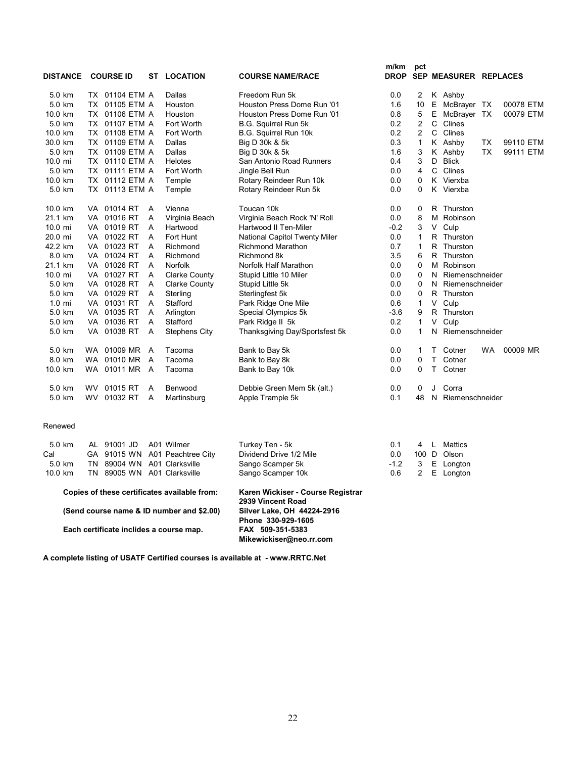| <b>DISTANCE</b>   |           | <b>COURSE ID</b> |     | ST | <b>LOCATION</b>      | <b>COURSE NAME/RACE</b>        | m/km<br><b>DROP</b> | pct            |    | SEP MEASURER REPLACES |           |           |
|-------------------|-----------|------------------|-----|----|----------------------|--------------------------------|---------------------|----------------|----|-----------------------|-----------|-----------|
| 5.0 km            |           | TX 01104 ETM A   |     |    | Dallas               | Freedom Run 5k                 | 0.0                 | $\overline{2}$ |    | K Ashby               |           |           |
| 5.0 km            | TX.       | 01105 ETM A      |     |    | Houston              | Houston Press Dome Run '01     | 1.6                 | 10             | Е  | McBrayer TX           |           | 00078 ETM |
| 10.0 km           |           | TX 01106 ETM A   |     |    | Houston              | Houston Press Dome Run '01     | 0.8                 | 5              | Е  | McBrayer TX           |           | 00079 ETM |
| 5.0 km            |           | TX 01107 ETM A   |     |    | Fort Worth           | B.G. Squirrel Run 5k           | 0.2                 | $\overline{2}$ | C  | Clines                |           |           |
| 10.0 km           |           | TX 01108 ETM A   |     |    | Fort Worth           | B.G. Squirrel Run 10k          | 0.2                 | $\overline{2}$ | C  | Clines                |           |           |
| 30.0 km           |           | TX 01109 ETM A   |     |    | Dallas               | Big D 30k & 5k                 | 0.3                 | 1              |    | K Ashby               | <b>TX</b> | 99110 ETM |
| 5.0 km            |           | TX 01109 ETM A   |     |    | Dallas               | Big D 30k & 5k                 | 1.6                 | 3              |    | K Ashby               | <b>TX</b> | 99111 ETM |
| 10.0 mi           |           | TX 01110 ETM A   |     |    | <b>Helotes</b>       | San Antonio Road Runners       | 0.4                 | 3              | D  | <b>Blick</b>          |           |           |
| 5.0 km            |           | TX 01111 ETM A   |     |    | Fort Worth           | Jingle Bell Run                | 0.0                 | $\overline{4}$ | C  | Clines                |           |           |
| 10.0 km           |           | TX 01112 ETM A   |     |    | Temple               | Rotary Reindeer Run 10k        | 0.0                 | 0              |    | K Vierxba             |           |           |
| 5.0 km            |           | TX 01113 ETM A   |     |    | Temple               | Rotary Reindeer Run 5k         | 0.0                 | 0              |    | K Vierxba             |           |           |
| 10.0 km           |           | VA 01014 RT      |     | A  | Vienna               | Toucan 10k                     | 0.0                 | 0              |    | R Thurston            |           |           |
| 21.1 km           |           | VA 01016 RT      |     | A  | Virginia Beach       | Virginia Beach Rock 'N' Roll   | 0.0                 | 8              |    | M Robinson            |           |           |
| $10.0 \text{ mi}$ | VA.       | 01019 RT         |     | А  | Hartwood             | Hartwood II Ten-Miler          | $-0.2$              | 3              | V  | Culp                  |           |           |
| 20.0 mi           |           | VA 01022 RT      |     | A  | Fort Hunt            | National Capitol Twenty Miler  | 0.0                 | $\mathbf{1}$   |    | R Thurston            |           |           |
| 42.2 km           |           | VA 01023 RT      |     | A  | Richmond             | <b>Richmond Marathon</b>       | 0.7                 | $\mathbf{1}$   |    | R Thurston            |           |           |
| 8.0 km            |           | VA 01024 RT      |     | A  | Richmond             | Richmond 8k                    | 3.5                 | 6              |    | R Thurston            |           |           |
| 21.1 km           |           | VA 01026 RT      |     | A  | <b>Norfolk</b>       | Norfolk Half Marathon          | 0.0                 | 0              |    | M Robinson            |           |           |
| $10.0 \text{ mi}$ |           | VA 01027 RT      |     | A  | <b>Clarke County</b> | Stupid Little 10 Miler         | 0.0                 | 0              | N  | Riemenschneider       |           |           |
| 5.0 km            |           | VA 01028 RT      |     | A  | <b>Clarke County</b> | Stupid Little 5k               | 0.0                 | 0              | N  | Riemenschneider       |           |           |
| 5.0 km            |           | VA 01029 RT      |     | A  | Sterling             | Sterlingfest 5k                | 0.0                 | 0              | R. | Thurston              |           |           |
| $1.0 \text{ mi}$  |           | VA 01031 RT      |     | A  | Stafford             | Park Ridge One Mile            | 0.6                 | 1              | V  | Culp                  |           |           |
| 5.0 km            |           | VA 01035 RT      |     | A  | Arlington            | Special Olympics 5k            | $-3.6$              | 9              |    | R Thurston            |           |           |
| 5.0 km            |           | VA 01036 RT      |     | A  | Stafford             | Park Ridge II 5k               | 0.2                 | 1              | V  | Culp                  |           |           |
| 5.0 km            |           | VA 01038 RT      | A   |    | <b>Stephens City</b> | Thanksgiving Day/Sportsfest 5k | 0.0                 | 1              | N  | Riemenschneider       |           |           |
| 5.0 km            |           | WA 01009 MR      | A   |    | Tacoma               | Bank to Bay 5k                 | 0.0                 | 1              | Τ  | Cotner                | <b>WA</b> | 00009 MR  |
| 8.0 km            | <b>WA</b> | 01010 MR         | A   |    | Tacoma               | Bank to Bay 8k                 | 0.0                 | 0              | т  | Cotner                |           |           |
| 10.0 km           |           | WA 01011 MR      | - A |    | Tacoma               | Bank to Bay 10k                | 0.0                 | 0              | т  | Cotner                |           |           |
| 5.0 km            |           | WV 01015 RT      |     | A  | Benwood              | Debbie Green Mem 5k (alt.)     | 0.0                 | 0              | J  | Corra                 |           |           |
| 5.0 km            | <b>WV</b> | 01032 RT         |     | A  | Martinsburg          | Apple Trample 5k               | 0.1                 | 48             | N  | Riemenschneider       |           |           |

#### Renewed

| 5.0 km                                  |                                              | AL 91001 JD                 |  | A01 Wilmer                     | Turkey Ten - 5k                                                   | 0.1    | 4 |   | Mattics     |  |
|-----------------------------------------|----------------------------------------------|-----------------------------|--|--------------------------------|-------------------------------------------------------------------|--------|---|---|-------------|--|
| Cal                                     |                                              |                             |  | GA 91015 WN A01 Peachtree City | Dividend Drive 1/2 Mile                                           | 0.0    |   |   | 100 D Olson |  |
| 5.0 km                                  |                                              | TN 89004 WN                 |  | A01 Clarksville                | Sango Scamper 5k                                                  | $-1.2$ | 3 | Е | Longton     |  |
| 10.0 km                                 |                                              | TN 89005 WN A01 Clarksville |  |                                | Sango Scamper 10k                                                 | 0.6    | 2 |   | E Longton   |  |
|                                         | Copies of these certificates available from: |                             |  |                                | Karen Wickiser - Course Registrar<br>2939 Vincent Road            |        |   |   |             |  |
|                                         | (Send course name & ID number and \$2.00)    |                             |  |                                | Silver Lake, OH 44224-2916                                        |        |   |   |             |  |
| Each certificate inclides a course map. |                                              |                             |  |                                | Phone 330-929-1605<br>FAX 509-351-5383<br>Mikewickiser@neo.rr.com |        |   |   |             |  |

**A complete listing of USATF Certified courses is available at - www.RRTC.Net**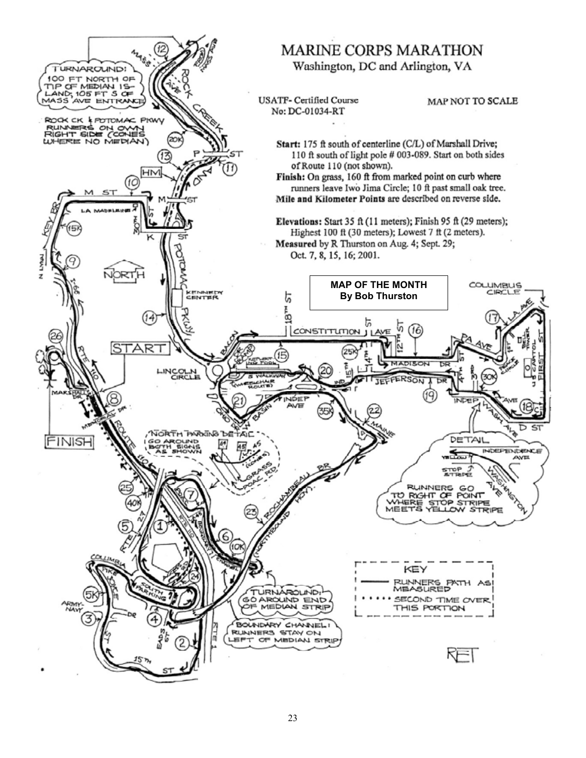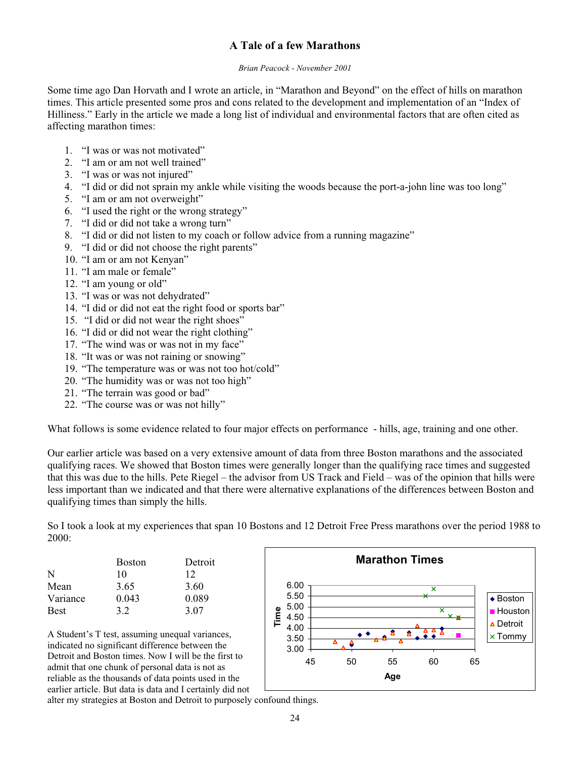#### **A Tale of a few Marathons**

#### *Brian Peacock - November 2001*

Some time ago Dan Horvath and I wrote an article, in "Marathon and Beyond" on the effect of hills on marathon times. This article presented some pros and cons related to the development and implementation of an "Index of Hilliness." Early in the article we made a long list of individual and environmental factors that are often cited as affecting marathon times:

- 1. "I was or was not motivated"
- 2. "I am or am not well trained"
- 3. "I was or was not injured"
- 4. "I did or did not sprain my ankle while visiting the woods because the port-a-john line was too long"
- 5. "I am or am not overweight"
- 6. "I used the right or the wrong strategy"
- 7. "I did or did not take a wrong turn"
- 8. "I did or did not listen to my coach or follow advice from a running magazine"
- 9. "I did or did not choose the right parents"
- 10. "I am or am not Kenyan"
- 11. "I am male or female"
- 12. "I am young or old"
- 13. "I was or was not dehydrated"
- 14. "I did or did not eat the right food or sports bar"
- 15. "I did or did not wear the right shoes"
- 16. "I did or did not wear the right clothing"
- 17. "The wind was or was not in my face"
- 18. "It was or was not raining or snowing"
- 19. "The temperature was or was not too hot/cold"
- 20. "The humidity was or was not too high"
- 21. "The terrain was good or bad"
- 22. "The course was or was not hilly"

What follows is some evidence related to four major effects on performance - hills, age, training and one other.

Our earlier article was based on a very extensive amount of data from three Boston marathons and the associated qualifying races. We showed that Boston times were generally longer than the qualifying race times and suggested that this was due to the hills. Pete Riegel – the advisor from US Track and Field – was of the opinion that hills were less important than we indicated and that there were alternative explanations of the differences between Boston and qualifying times than simply the hills.

So I took a look at my experiences that span 10 Bostons and 12 Detroit Free Press marathons over the period 1988 to 2000:

| N<br>Mean<br>Variance<br><b>Best</b> | <b>Boston</b><br>10<br>3.65<br>0.043<br>3.2 | Detroit<br>12<br>3.60<br>0.089<br>3.07 |
|--------------------------------------|---------------------------------------------|----------------------------------------|
|                                      |                                             |                                        |

A Student's T test, assuming unequal variances, indicated no significant difference between the Detroit and Boston times. Now I will be the first to admit that one chunk of personal data is not as reliable as the thousands of data points used in the earlier article. But data is data and I certainly did not



alter my strategies at Boston and Detroit to purposely confound things.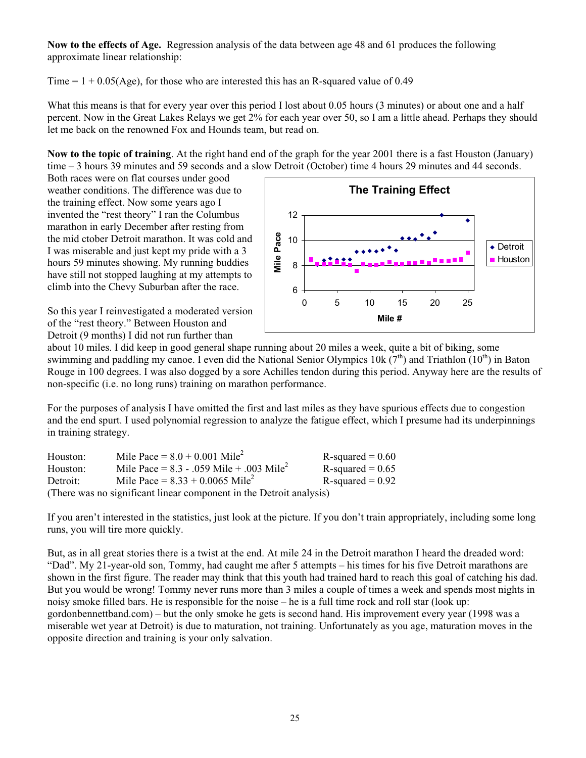**Now to the effects of Age.** Regression analysis of the data between age 48 and 61 produces the following approximate linear relationship:

Time  $= 1 + 0.05$ (Age), for those who are interested this has an R-squared value of 0.49

What this means is that for every year over this period I lost about 0.05 hours (3 minutes) or about one and a half percent. Now in the Great Lakes Relays we get 2% for each year over 50, so I am a little ahead. Perhaps they should let me back on the renowned Fox and Hounds team, but read on.

**Now to the topic of training**. At the right hand end of the graph for the year 2001 there is a fast Houston (January) time – 3 hours 39 minutes and 59 seconds and a slow Detroit (October) time 4 hours 29 minutes and 44 seconds.

Both races were on flat courses under good weather conditions. The difference was due to the training effect. Now some years ago I invented the "rest theory" I ran the Columbus marathon in early December after resting from the mid ctober Detroit marathon. It was cold and I was miserable and just kept my pride with a 3 hours 59 minutes showing. My running buddies have still not stopped laughing at my attempts to climb into the Chevy Suburban after the race.

So this year I reinvestigated a moderated version of the "rest theory." Between Houston and Detroit (9 months) I did not run further than



about 10 miles. I did keep in good general shape running about 20 miles a week, quite a bit of biking, some swimming and paddling my canoe. I even did the National Senior Olympics 10k  $(7<sup>th</sup>)$  and Triathlon  $(10<sup>th</sup>)$  in Baton Rouge in 100 degrees. I was also dogged by a sore Achilles tendon during this period. Anyway here are the results of non-specific (i.e. no long runs) training on marathon performance.

For the purposes of analysis I have omitted the first and last miles as they have spurious effects due to congestion and the end spurt. I used polynomial regression to analyze the fatigue effect, which I presume had its underpinnings in training strategy.

| Houston: | Mile Pace = $8.0 + 0.001$ Mile <sup>2</sup>                         | $R$ -squared = 0.60 |
|----------|---------------------------------------------------------------------|---------------------|
| Houston: | Mile Pace = $8.3 - 0.059$ Mile + 0.03 Mile <sup>2</sup>             | R-squared $= 0.65$  |
| Detroit: | Mile Pace = $8.33 + 0.0065$ Mile <sup>2</sup>                       | $R$ -squared = 0.92 |
|          | (There was no significant linear component in the Detroit analysis) |                     |

If you aren't interested in the statistics, just look at the picture. If you don't train appropriately, including some long runs, you will tire more quickly.

But, as in all great stories there is a twist at the end. At mile 24 in the Detroit marathon I heard the dreaded word: "Dad". My 21-year-old son, Tommy, had caught me after 5 attempts – his times for his five Detroit marathons are shown in the first figure. The reader may think that this youth had trained hard to reach this goal of catching his dad. But you would be wrong! Tommy never runs more than 3 miles a couple of times a week and spends most nights in noisy smoke filled bars. He is responsible for the noise – he is a full time rock and roll star (look up: gordonbennettband.com) – but the only smoke he gets is second hand. His improvement every year (1998 was a miserable wet year at Detroit) is due to maturation, not training. Unfortunately as you age, maturation moves in the opposite direction and training is your only salvation.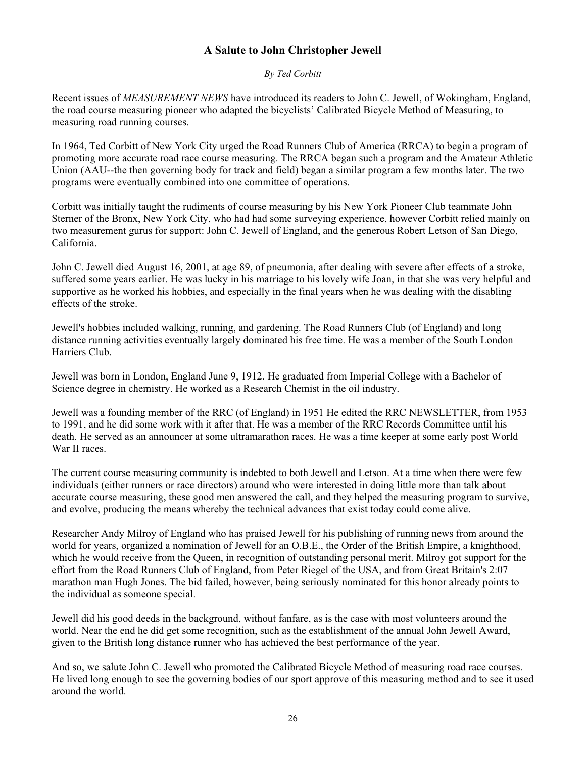#### **A Salute to John Christopher Jewell**

#### *By Ted Corbitt*

Recent issues of *MEASUREMENT NEWS* have introduced its readers to John C. Jewell, of Wokingham, England, the road course measuring pioneer who adapted the bicyclists' Calibrated Bicycle Method of Measuring, to measuring road running courses.

In 1964, Ted Corbitt of New York City urged the Road Runners Club of America (RRCA) to begin a program of promoting more accurate road race course measuring. The RRCA began such a program and the Amateur Athletic Union (AAU--the then governing body for track and field) began a similar program a few months later. The two programs were eventually combined into one committee of operations.

Corbitt was initially taught the rudiments of course measuring by his New York Pioneer Club teammate John Sterner of the Bronx, New York City, who had had some surveying experience, however Corbitt relied mainly on two measurement gurus for support: John C. Jewell of England, and the generous Robert Letson of San Diego, California.

John C. Jewell died August 16, 2001, at age 89, of pneumonia, after dealing with severe after effects of a stroke, suffered some years earlier. He was lucky in his marriage to his lovely wife Joan, in that she was very helpful and supportive as he worked his hobbies, and especially in the final years when he was dealing with the disabling effects of the stroke.

Jewell's hobbies included walking, running, and gardening. The Road Runners Club (of England) and long distance running activities eventually largely dominated his free time. He was a member of the South London Harriers Club.

Jewell was born in London, England June 9, 1912. He graduated from Imperial College with a Bachelor of Science degree in chemistry. He worked as a Research Chemist in the oil industry.

Jewell was a founding member of the RRC (of England) in 1951 He edited the RRC NEWSLETTER, from 1953 to 1991, and he did some work with it after that. He was a member of the RRC Records Committee until his death. He served as an announcer at some ultramarathon races. He was a time keeper at some early post World War II races.

The current course measuring community is indebted to both Jewell and Letson. At a time when there were few individuals (either runners or race directors) around who were interested in doing little more than talk about accurate course measuring, these good men answered the call, and they helped the measuring program to survive, and evolve, producing the means whereby the technical advances that exist today could come alive.

Researcher Andy Milroy of England who has praised Jewell for his publishing of running news from around the world for years, organized a nomination of Jewell for an O.B.E., the Order of the British Empire, a knighthood, which he would receive from the Queen, in recognition of outstanding personal merit. Milroy got support for the effort from the Road Runners Club of England, from Peter Riegel of the USA, and from Great Britain's 2:07 marathon man Hugh Jones. The bid failed, however, being seriously nominated for this honor already points to the individual as someone special.

Jewell did his good deeds in the background, without fanfare, as is the case with most volunteers around the world. Near the end he did get some recognition, such as the establishment of the annual John Jewell Award, given to the British long distance runner who has achieved the best performance of the year.

And so, we salute John C. Jewell who promoted the Calibrated Bicycle Method of measuring road race courses. He lived long enough to see the governing bodies of our sport approve of this measuring method and to see it used around the world.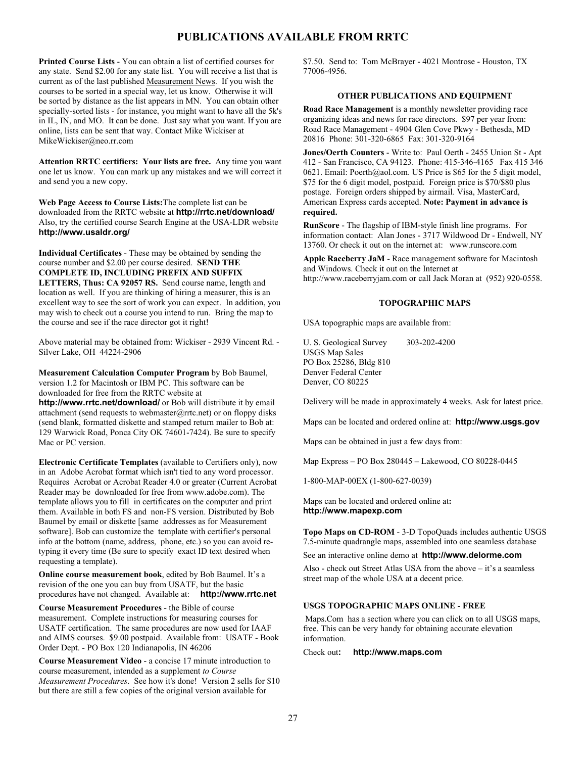#### **PUBLICATIONS AVAILABLE FROM RRTC**

**Printed Course Lists** - You can obtain a list of certified courses for any state. Send \$2.00 for any state list. You will receive a list that is current as of the last published Measurement News. If you wish the courses to be sorted in a special way, let us know. Otherwise it will be sorted by distance as the list appears in MN. You can obtain other specially-sorted lists - for instance, you might want to have all the 5k's in IL, IN, and MO. It can be done. Just say what you want. If you are online, lists can be sent that way. Contact Mike Wickiser at MikeWickiser@neo.rr.com

**Attention RRTC certifiers: Your lists are free.** Any time you want one let us know. You can mark up any mistakes and we will correct it and send you a new copy.

**Web Page Access to Course Lists:**The complete list can be downloaded from the RRTC website at **http://rrtc.net/download/** Also, try the certified course Search Engine at the USA-LDR website **http://www.usaldr.org/**

**Individual Certificates** - These may be obtained by sending the course number and \$2.00 per course desired. **SEND THE COMPLETE ID, INCLUDING PREFIX AND SUFFIX LETTERS, Thus: CA 92057 RS.** Send course name, length and location as well. If you are thinking of hiring a measurer, this is an excellent way to see the sort of work you can expect. In addition, you may wish to check out a course you intend to run. Bring the map to the course and see if the race director got it right!

Above material may be obtained from: Wickiser - 2939 Vincent Rd. - Silver Lake, OH 44224-2906

**Measurement Calculation Computer Program** by Bob Baumel, version 1.2 for Macintosh or IBM PC. This software can be downloaded for free from the RRTC website at

**http://www.rrtc.net/download/** or Bob will distribute it by email attachment (send requests to webmaster@rrtc.net) or on floppy disks (send blank, formatted diskette and stamped return mailer to Bob at: 129 Warwick Road, Ponca City OK 74601-7424). Be sure to specify Mac or PC version.

**Electronic Certificate Templates** (available to Certifiers only), now in an Adobe Acrobat format which isn't tied to any word processor. Requires Acrobat or Acrobat Reader 4.0 or greater (Current Acrobat Reader may be downloaded for free from www.adobe.com). The template allows you to fill in certificates on the computer and print them. Available in both FS and non-FS version. Distributed by Bob Baumel by email or diskette [same addresses as for Measurement software]. Bob can customize the template with certifier's personal info at the bottom (name, address, phone, etc.) so you can avoid retyping it every time (Be sure to specify exact ID text desired when requesting a template).

**Online course measurement book**, edited by Bob Baumel. It's a revision of the one you can buy from USATF, but the basic procedures have not changed. Available at: **http://www.rrtc.net**

**Course Measurement Procedures** - the Bible of course measurement. Complete instructions for measuring courses for USATF certification. The same procedures are now used for IAAF and AIMS courses. \$9.00 postpaid. Available from: USATF - Book Order Dept. - PO Box 120 Indianapolis, IN 46206

**Course Measurement Video** - a concise 17 minute introduction to course measurement, intended as a supplement *to Course Measurement Procedures*. See how it's done! Version 2 sells for \$10 but there are still a few copies of the original version available for

\$7.50. Send to: Tom McBrayer - 4021 Montrose - Houston, TX 77006-4956.

#### **OTHER PUBLICATIONS AND EQUIPMENT**

**Road Race Management** is a monthly newsletter providing race organizing ideas and news for race directors. \$97 per year from: Road Race Management - 4904 Glen Cove Pkwy - Bethesda, MD 20816 Phone: 301-320-6865 Fax: 301-320-9164

**Jones/Oerth Counters** - Write to: Paul Oerth - 2455 Union St - Apt 412 - San Francisco, CA 94123. Phone: 415-346-4165 Fax 415 346 0621. Email: Poerth@aol.com. US Price is \$65 for the 5 digit model, \$75 for the 6 digit model, postpaid. Foreign price is \$70/\$80 plus postage. Foreign orders shipped by airmail. Visa, MasterCard, American Express cards accepted. **Note: Payment in advance is required.**

**RunScore** - The flagship of IBM-style finish line programs. For information contact: Alan Jones - 3717 Wildwood Dr - Endwell, NY 13760. Or check it out on the internet at: www.runscore.com

**Apple Raceberry JaM** - Race management software for Macintosh and Windows. Check it out on the Internet at http://www.raceberryjam.com or call Jack Moran at (952) 920-0558.

#### **TOPOGRAPHIC MAPS**

USA topographic maps are available from:

U. S. Geological Survey 303-202-4200 USGS Map Sales PO Box 25286, Bldg 810 Denver Federal Center Denver, CO 80225

Delivery will be made in approximately 4 weeks. Ask for latest price.

Maps can be located and ordered online at: **http://www.usgs.gov**

Maps can be obtained in just a few days from:

Map Express – PO Box 280445 – Lakewood, CO 80228-0445

1-800-MAP-00EX (1-800-627-0039)

Maps can be located and ordered online at**: http://www.mapexp.com**

**Topo Maps on CD-ROM** - 3-D TopoQuads includes authentic USGS 7.5-minute quadrangle maps, assembled into one seamless database

See an interactive online demo at **http://www.delorme.com**

Also - check out Street Atlas USA from the above – it's a seamless street map of the whole USA at a decent price.

#### **USGS TOPOGRAPHIC MAPS ONLINE - FREE**

 Maps.Com has a section where you can click on to all USGS maps, free. This can be very handy for obtaining accurate elevation information.

Check out**: http://www.maps.com**